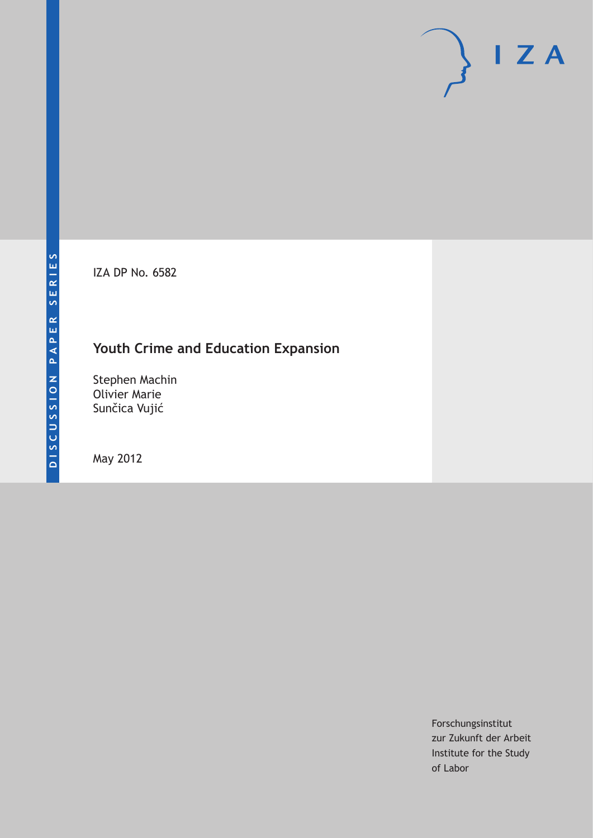IZA DP No. 6582

# **Youth Crime and Education Expansion**

Stephen Machin Olivier Marie Sunčica Vujić

May 2012

Forschungsinstitut zur Zukunft der Arbeit Institute for the Study of Labor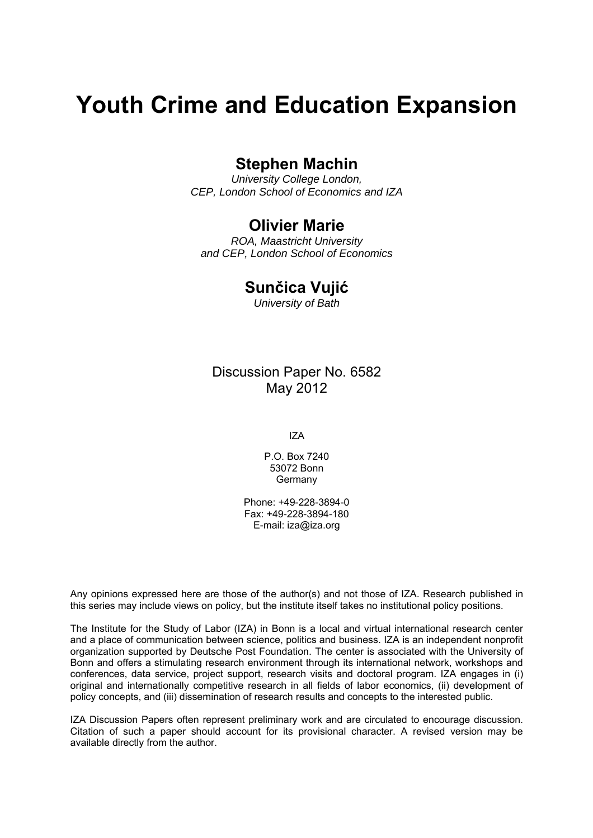# **Youth Crime and Education Expansion**

# **Stephen Machin**

*University College London, CEP, London School of Economics and IZA* 

# **Olivier Marie**

*ROA, Maastricht University and CEP, London School of Economics* 

# **Sunčica Vujić**

*University of Bath* 

Discussion Paper No. 6582 May 2012

IZA

P.O. Box 7240 53072 Bonn Germany

Phone: +49-228-3894-0 Fax: +49-228-3894-180 E-mail: [iza@iza.org](mailto:iza@iza.org)

Any opinions expressed here are those of the author(s) and not those of IZA. Research published in this series may include views on policy, but the institute itself takes no institutional policy positions.

The Institute for the Study of Labor (IZA) in Bonn is a local and virtual international research center and a place of communication between science, politics and business. IZA is an independent nonprofit organization supported by Deutsche Post Foundation. The center is associated with the University of Bonn and offers a stimulating research environment through its international network, workshops and conferences, data service, project support, research visits and doctoral program. IZA engages in (i) original and internationally competitive research in all fields of labor economics, (ii) development of policy concepts, and (iii) dissemination of research results and concepts to the interested public.

IZA Discussion Papers often represent preliminary work and are circulated to encourage discussion. Citation of such a paper should account for its provisional character. A revised version may be available directly from the author.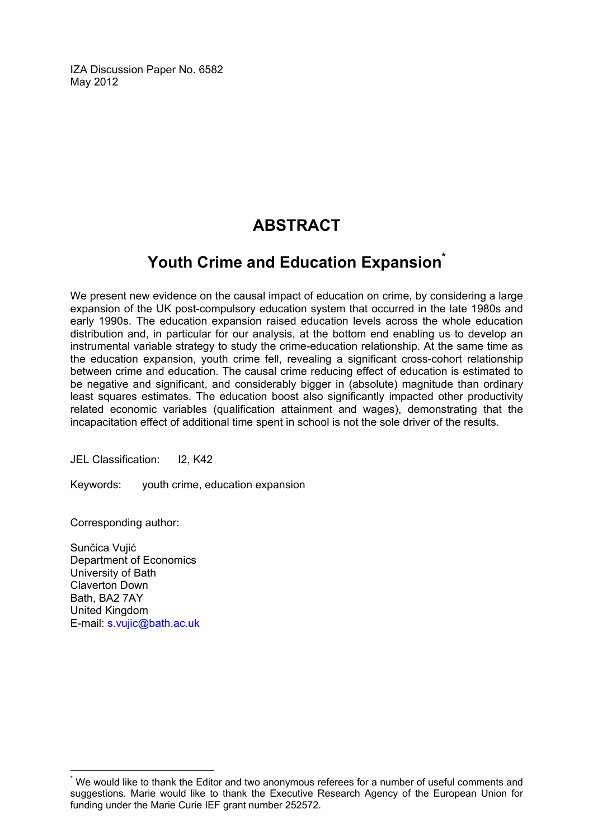IZA Discussion Paper No. 6582 May 2012

# **ABSTRACT**

# **Youth Crime and Education Expansio[n\\*](#page-2-0)**

We present new evidence on the causal impact of education on crime, by considering a large expansion of the UK post-compulsory education system that occurred in the late 1980s and early 1990s. The education expansion raised education levels across the whole education distribution and, in particular for our analysis, at the bottom end enabling us to develop an instrumental variable strategy to study the crime-education relationship. At the same time as the education expansion, youth crime fell, revealing a significant cross-cohort relationship between crime and education. The causal crime reducing effect of education is estimated to be negative and significant, and considerably bigger in (absolute) magnitude than ordinary least squares estimates. The education boost also significantly impacted other productivity related economic variables (qualification attainment and wages), demonstrating that the incapacitation effect of additional time spent in school is not the sole driver of the results.

JEL Classification: I2, K42

Keywords: youth crime, education expansion

Corresponding author:

Sunčica Vujić Department of Economics University of Bath Claverton Down Bath, BA2 7AY United Kingdom E-mail: [s.vujic@bath.ac.uk](mailto:s.vujic@bath.ac.uk)

<span id="page-2-0"></span><sup>\*</sup> We would like to thank the Editor and two anonymous referees for a number of useful comments and suggestions. Marie would like to thank the Executive Research Agency of the European Union for funding under the Marie Curie IEF grant number 252572.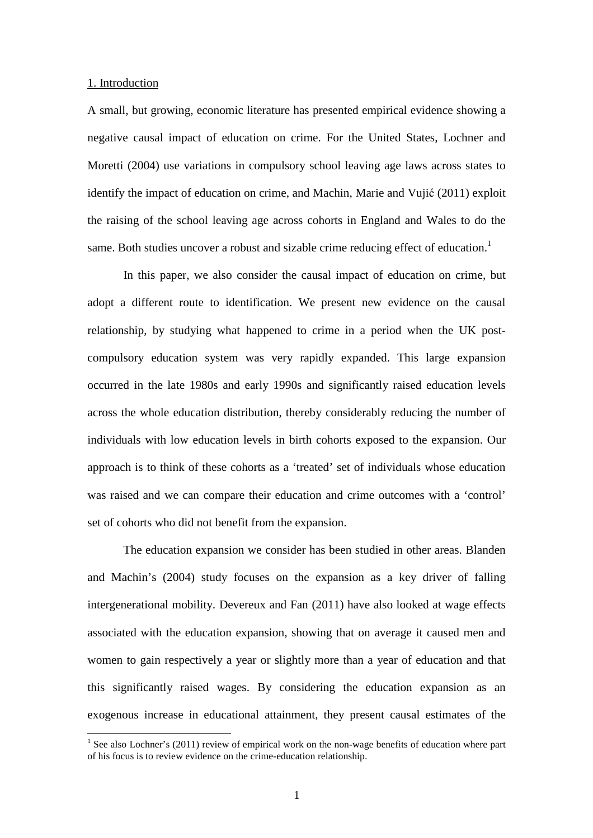#### 1. Introduction

 $\overline{a}$ 

A small, but growing, economic literature has presented empirical evidence showing a negative causal impact of education on crime. For the United States, Lochner and Moretti (2004) use variations in compulsory school leaving age laws across states to identify the impact of education on crime, and Machin, Marie and Vujić (2011) exploit the raising of the school leaving age across cohorts in England and Wales to do the same. Both studies uncover a robust and sizable crime reducing effect of education.<sup>1</sup>

In this paper, we also consider the causal impact of education on crime, but adopt a different route to identification. We present new evidence on the causal relationship, by studying what happened to crime in a period when the UK postcompulsory education system was very rapidly expanded. This large expansion occurred in the late 1980s and early 1990s and significantly raised education levels across the whole education distribution, thereby considerably reducing the number of individuals with low education levels in birth cohorts exposed to the expansion. Our approach is to think of these cohorts as a 'treated' set of individuals whose education was raised and we can compare their education and crime outcomes with a 'control' set of cohorts who did not benefit from the expansion.

The education expansion we consider has been studied in other areas. Blanden and Machin's (2004) study focuses on the expansion as a key driver of falling intergenerational mobility. Devereux and Fan (2011) have also looked at wage effects associated with the education expansion, showing that on average it caused men and women to gain respectively a year or slightly more than a year of education and that this significantly raised wages. By considering the education expansion as an exogenous increase in educational attainment, they present causal estimates of the

<sup>&</sup>lt;sup>1</sup> See also Lochner's (2011) review of empirical work on the non-wage benefits of education where part of his focus is to review evidence on the crime-education relationship.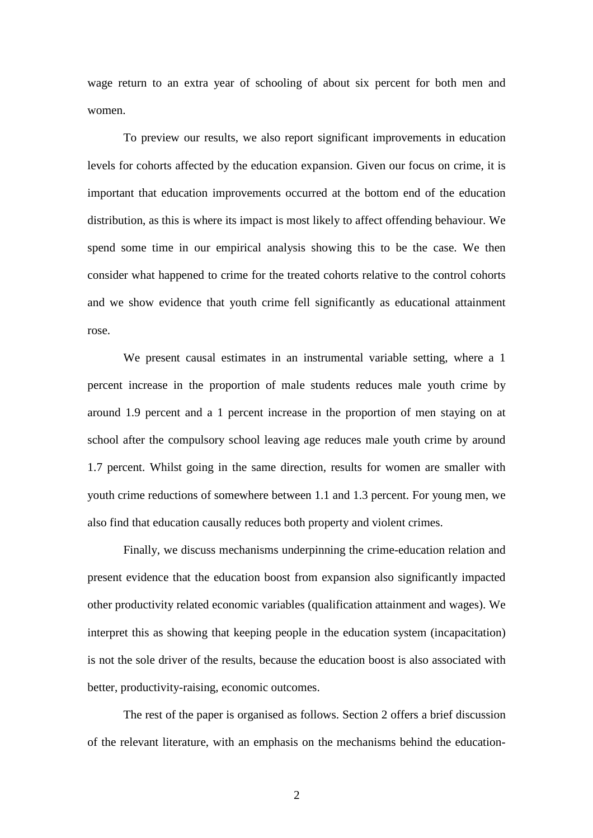wage return to an extra year of schooling of about six percent for both men and women.

To preview our results, we also report significant improvements in education levels for cohorts affected by the education expansion. Given our focus on crime, it is important that education improvements occurred at the bottom end of the education distribution, as this is where its impact is most likely to affect offending behaviour. We spend some time in our empirical analysis showing this to be the case. We then consider what happened to crime for the treated cohorts relative to the control cohorts and we show evidence that youth crime fell significantly as educational attainment rose.

We present causal estimates in an instrumental variable setting, where a 1 percent increase in the proportion of male students reduces male youth crime by around 1.9 percent and a 1 percent increase in the proportion of men staying on at school after the compulsory school leaving age reduces male youth crime by around 1.7 percent. Whilst going in the same direction, results for women are smaller with youth crime reductions of somewhere between 1.1 and 1.3 percent. For young men, we also find that education causally reduces both property and violent crimes.

Finally, we discuss mechanisms underpinning the crime-education relation and present evidence that the education boost from expansion also significantly impacted other productivity related economic variables (qualification attainment and wages). We interpret this as showing that keeping people in the education system (incapacitation) is not the sole driver of the results, because the education boost is also associated with better, productivity-raising, economic outcomes.

The rest of the paper is organised as follows. Section 2 offers a brief discussion of the relevant literature, with an emphasis on the mechanisms behind the education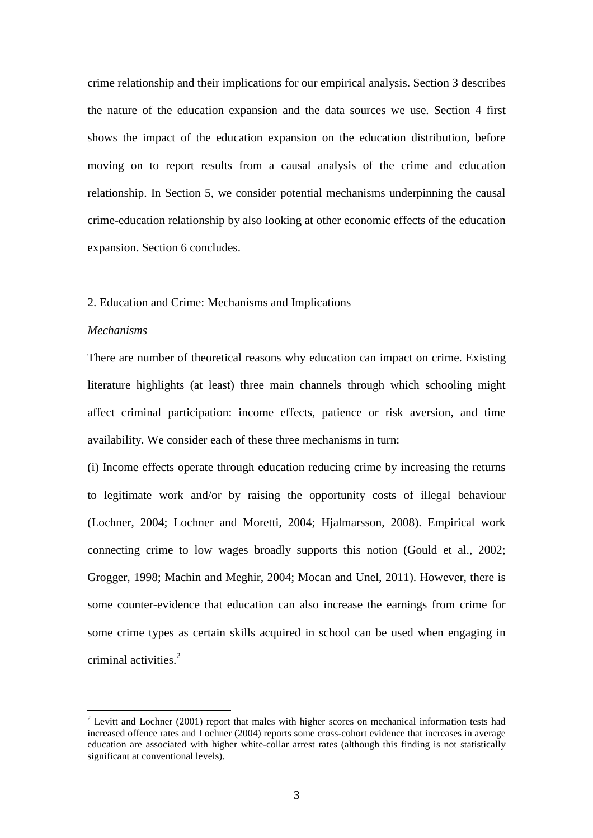crime relationship and their implications for our empirical analysis. Section 3 describes the nature of the education expansion and the data sources we use. Section 4 first shows the impact of the education expansion on the education distribution, before moving on to report results from a causal analysis of the crime and education relationship. In Section 5, we consider potential mechanisms underpinning the causal crime-education relationship by also looking at other economic effects of the education expansion. Section 6 concludes.

#### 2. Education and Crime: Mechanisms and Implications

#### *Mechanisms*

There are number of theoretical reasons why education can impact on crime. Existing literature highlights (at least) three main channels through which schooling might affect criminal participation: income effects, patience or risk aversion, and time availability. We consider each of these three mechanisms in turn:

(i) Income effects operate through education reducing crime by increasing the returns to legitimate work and/or by raising the opportunity costs of illegal behaviour (Lochner, 2004; Lochner and Moretti, 2004; Hjalmarsson, 2008). Empirical work connecting crime to low wages broadly supports this notion (Gould et al., 2002; Grogger, 1998; Machin and Meghir, 2004; Mocan and Unel, 2011). However, there is some counter-evidence that education can also increase the earnings from crime for some crime types as certain skills acquired in school can be used when engaging in criminal activities.<sup>2</sup>

<sup>&</sup>lt;sup>2</sup> Levitt and Lochner (2001) report that males with higher scores on mechanical information tests had increased offence rates and Lochner (2004) reports some cross-cohort evidence that increases in average education are associated with higher white-collar arrest rates (although this finding is not statistically significant at conventional levels).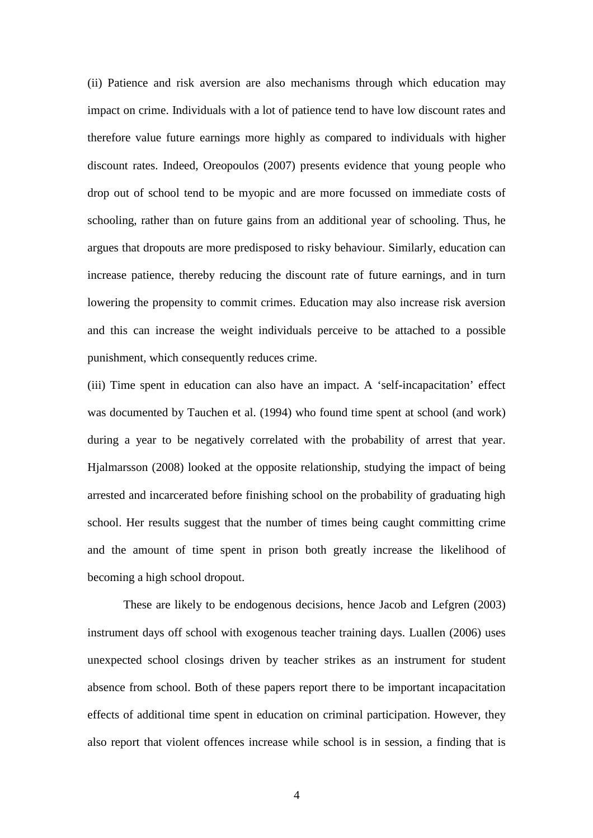(ii) Patience and risk aversion are also mechanisms through which education may impact on crime. Individuals with a lot of patience tend to have low discount rates and therefore value future earnings more highly as compared to individuals with higher discount rates. Indeed, Oreopoulos (2007) presents evidence that young people who drop out of school tend to be myopic and are more focussed on immediate costs of schooling, rather than on future gains from an additional year of schooling. Thus, he argues that dropouts are more predisposed to risky behaviour. Similarly, education can increase patience, thereby reducing the discount rate of future earnings, and in turn lowering the propensity to commit crimes. Education may also increase risk aversion and this can increase the weight individuals perceive to be attached to a possible punishment, which consequently reduces crime.

(iii) Time spent in education can also have an impact. A 'self-incapacitation' effect was documented by Tauchen et al. (1994) who found time spent at school (and work) during a year to be negatively correlated with the probability of arrest that year. Hjalmarsson (2008) looked at the opposite relationship, studying the impact of being arrested and incarcerated before finishing school on the probability of graduating high school. Her results suggest that the number of times being caught committing crime and the amount of time spent in prison both greatly increase the likelihood of becoming a high school dropout.

These are likely to be endogenous decisions, hence Jacob and Lefgren (2003) instrument days off school with exogenous teacher training days. Luallen (2006) uses unexpected school closings driven by teacher strikes as an instrument for student absence from school. Both of these papers report there to be important incapacitation effects of additional time spent in education on criminal participation. However, they also report that violent offences increase while school is in session, a finding that is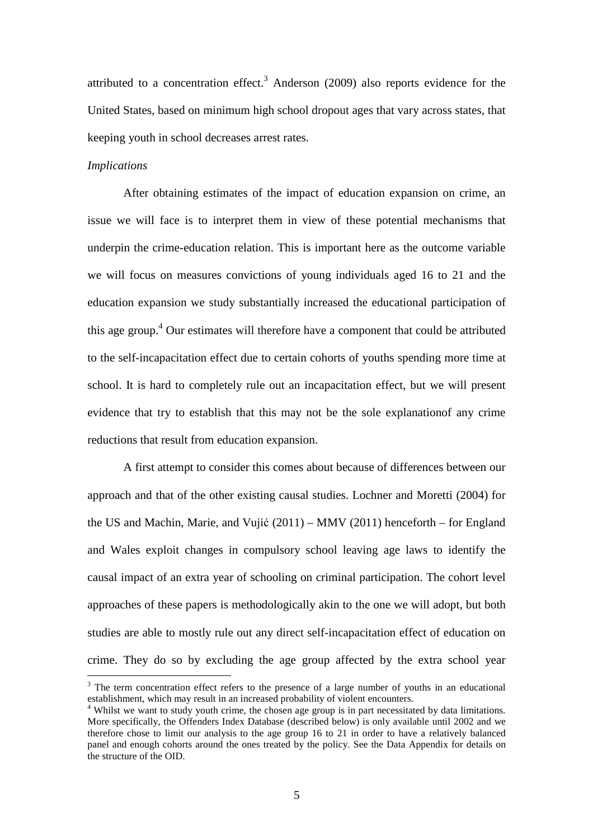attributed to a concentration effect.<sup>3</sup> Anderson (2009) also reports evidence for the United States, based on minimum high school dropout ages that vary across states, that keeping youth in school decreases arrest rates.

#### *Implications*

 $\overline{a}$ 

 After obtaining estimates of the impact of education expansion on crime, an issue we will face is to interpret them in view of these potential mechanisms that underpin the crime-education relation. This is important here as the outcome variable we will focus on measures convictions of young individuals aged 16 to 21 and the education expansion we study substantially increased the educational participation of this age group.<sup>4</sup> Our estimates will therefore have a component that could be attributed to the self-incapacitation effect due to certain cohorts of youths spending more time at school. It is hard to completely rule out an incapacitation effect, but we will present evidence that try to establish that this may not be the sole explanationof any crime reductions that result from education expansion.

A first attempt to consider this comes about because of differences between our approach and that of the other existing causal studies. Lochner and Moretti (2004) for the US and Machin, Marie, and Vujić (2011) – MMV (2011) henceforth – for England and Wales exploit changes in compulsory school leaving age laws to identify the causal impact of an extra year of schooling on criminal participation. The cohort level approaches of these papers is methodologically akin to the one we will adopt, but both studies are able to mostly rule out any direct self-incapacitation effect of education on crime. They do so by excluding the age group affected by the extra school year

 $3$  The term concentration effect refers to the presence of a large number of youths in an educational establishment, which may result in an increased probability of violent encounters.<br><sup>4</sup> Whilst we want to study youth crime, the chosen age group is in part necessitated by data limitations.

More specifically, the Offenders Index Database (described below) is only available until 2002 and we therefore chose to limit our analysis to the age group 16 to 21 in order to have a relatively balanced panel and enough cohorts around the ones treated by the policy. See the Data Appendix for details on the structure of the OID.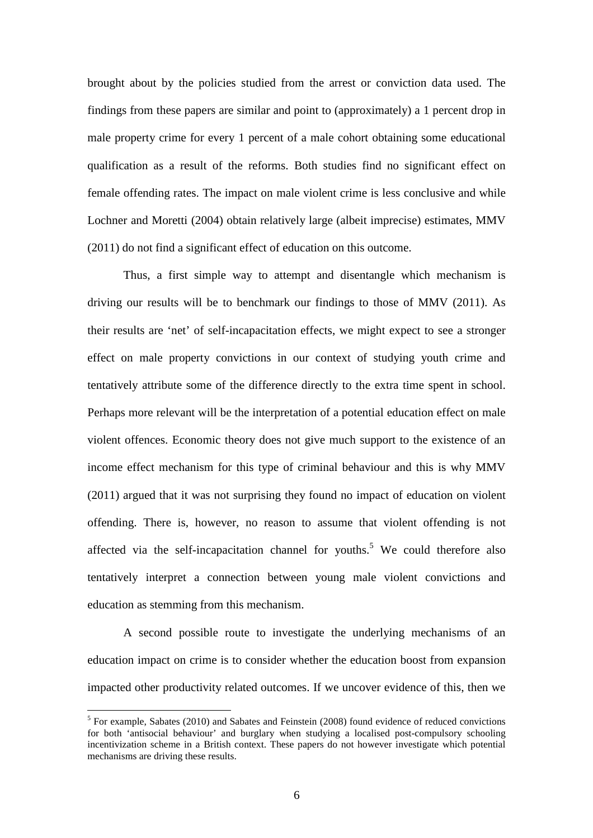brought about by the policies studied from the arrest or conviction data used. The findings from these papers are similar and point to (approximately) a 1 percent drop in male property crime for every 1 percent of a male cohort obtaining some educational qualification as a result of the reforms. Both studies find no significant effect on female offending rates. The impact on male violent crime is less conclusive and while Lochner and Moretti (2004) obtain relatively large (albeit imprecise) estimates, MMV (2011) do not find a significant effect of education on this outcome.

Thus, a first simple way to attempt and disentangle which mechanism is driving our results will be to benchmark our findings to those of MMV (2011). As their results are 'net' of self-incapacitation effects, we might expect to see a stronger effect on male property convictions in our context of studying youth crime and tentatively attribute some of the difference directly to the extra time spent in school. Perhaps more relevant will be the interpretation of a potential education effect on male violent offences. Economic theory does not give much support to the existence of an income effect mechanism for this type of criminal behaviour and this is why MMV (2011) argued that it was not surprising they found no impact of education on violent offending. There is, however, no reason to assume that violent offending is not affected via the self-incapacitation channel for youths.<sup>5</sup> We could therefore also tentatively interpret a connection between young male violent convictions and education as stemming from this mechanism.

A second possible route to investigate the underlying mechanisms of an education impact on crime is to consider whether the education boost from expansion impacted other productivity related outcomes. If we uncover evidence of this, then we

<sup>&</sup>lt;sup>5</sup> For example, Sabates (2010) and Sabates and Feinstein (2008) found evidence of reduced convictions for both 'antisocial behaviour' and burglary when studying a localised post-compulsory schooling incentivization scheme in a British context. These papers do not however investigate which potential mechanisms are driving these results.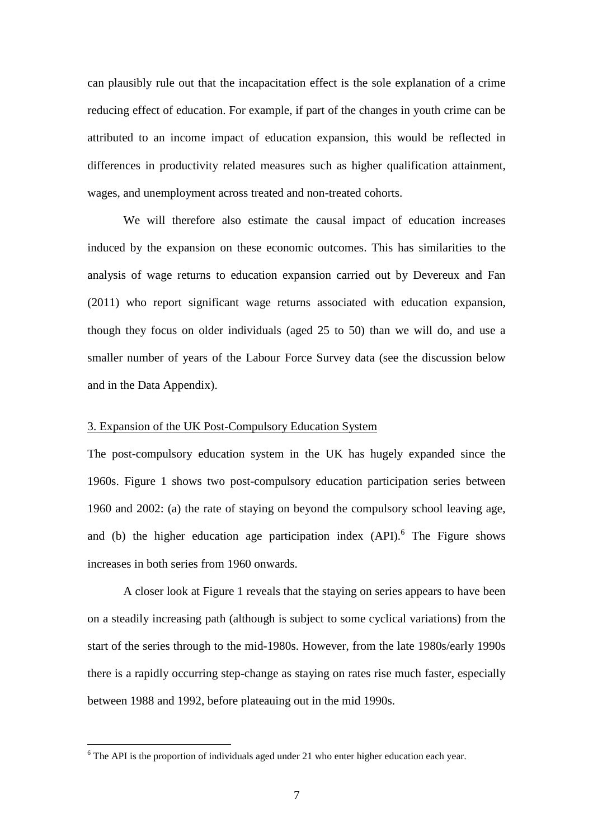can plausibly rule out that the incapacitation effect is the sole explanation of a crime reducing effect of education. For example, if part of the changes in youth crime can be attributed to an income impact of education expansion, this would be reflected in differences in productivity related measures such as higher qualification attainment, wages, and unemployment across treated and non-treated cohorts.

We will therefore also estimate the causal impact of education increases induced by the expansion on these economic outcomes. This has similarities to the analysis of wage returns to education expansion carried out by Devereux and Fan (2011) who report significant wage returns associated with education expansion, though they focus on older individuals (aged 25 to 50) than we will do, and use a smaller number of years of the Labour Force Survey data (see the discussion below and in the Data Appendix).

# 3. Expansion of the UK Post-Compulsory Education System

The post-compulsory education system in the UK has hugely expanded since the 1960s. Figure 1 shows two post-compulsory education participation series between 1960 and 2002: (a) the rate of staying on beyond the compulsory school leaving age, and (b) the higher education age participation index  $(API)$ <sup>6</sup>. The Figure shows increases in both series from 1960 onwards.

A closer look at Figure 1 reveals that the staying on series appears to have been on a steadily increasing path (although is subject to some cyclical variations) from the start of the series through to the mid-1980s. However, from the late 1980s/early 1990s there is a rapidly occurring step-change as staying on rates rise much faster, especially between 1988 and 1992, before plateauing out in the mid 1990s.

 $6$  The API is the proportion of individuals aged under 21 who enter higher education each year.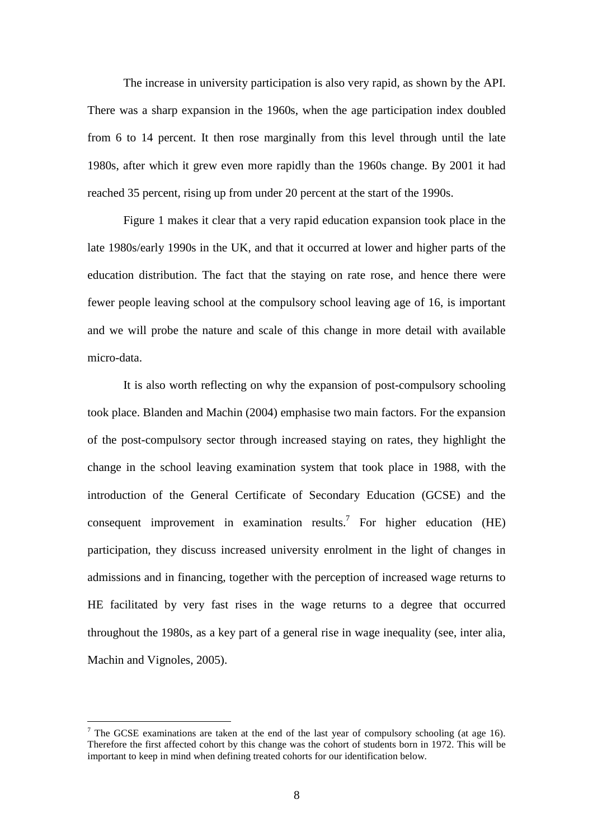The increase in university participation is also very rapid, as shown by the API. There was a sharp expansion in the 1960s, when the age participation index doubled from 6 to 14 percent. It then rose marginally from this level through until the late 1980s, after which it grew even more rapidly than the 1960s change. By 2001 it had reached 35 percent, rising up from under 20 percent at the start of the 1990s.

Figure 1 makes it clear that a very rapid education expansion took place in the late 1980s/early 1990s in the UK, and that it occurred at lower and higher parts of the education distribution. The fact that the staying on rate rose, and hence there were fewer people leaving school at the compulsory school leaving age of 16, is important and we will probe the nature and scale of this change in more detail with available micro-data.

It is also worth reflecting on why the expansion of post-compulsory schooling took place. Blanden and Machin (2004) emphasise two main factors. For the expansion of the post-compulsory sector through increased staying on rates, they highlight the change in the school leaving examination system that took place in 1988, with the introduction of the General Certificate of Secondary Education (GCSE) and the consequent improvement in examination results.<sup>7</sup> For higher education (HE) participation, they discuss increased university enrolment in the light of changes in admissions and in financing, together with the perception of increased wage returns to HE facilitated by very fast rises in the wage returns to a degree that occurred throughout the 1980s, as a key part of a general rise in wage inequality (see, inter alia, Machin and Vignoles, 2005).

<sup>&</sup>lt;sup>7</sup> The GCSE examinations are taken at the end of the last year of compulsory schooling (at age 16). Therefore the first affected cohort by this change was the cohort of students born in 1972. This will be important to keep in mind when defining treated cohorts for our identification below.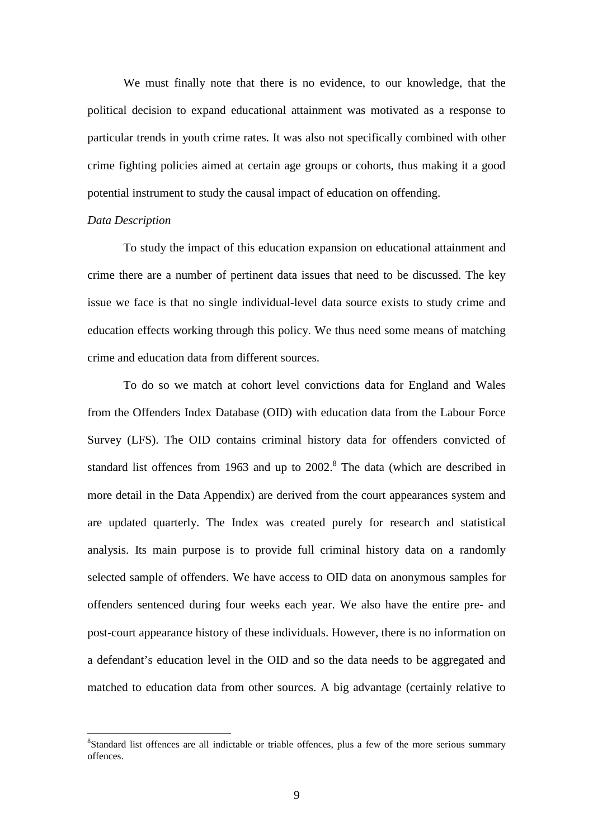We must finally note that there is no evidence, to our knowledge, that the political decision to expand educational attainment was motivated as a response to particular trends in youth crime rates. It was also not specifically combined with other crime fighting policies aimed at certain age groups or cohorts, thus making it a good potential instrument to study the causal impact of education on offending.

#### *Data Description*

 $\overline{a}$ 

To study the impact of this education expansion on educational attainment and crime there are a number of pertinent data issues that need to be discussed. The key issue we face is that no single individual-level data source exists to study crime and education effects working through this policy. We thus need some means of matching crime and education data from different sources.

To do so we match at cohort level convictions data for England and Wales from the Offenders Index Database (OID) with education data from the Labour Force Survey (LFS). The OID contains criminal history data for offenders convicted of standard list offences from 1963 and up to  $2002$ .<sup>8</sup> The data (which are described in more detail in the Data Appendix) are derived from the court appearances system and are updated quarterly. The Index was created purely for research and statistical analysis. Its main purpose is to provide full criminal history data on a randomly selected sample of offenders. We have access to OID data on anonymous samples for offenders sentenced during four weeks each year. We also have the entire pre- and post-court appearance history of these individuals. However, there is no information on a defendant's education level in the OID and so the data needs to be aggregated and matched to education data from other sources. A big advantage (certainly relative to

<sup>&</sup>lt;sup>8</sup>Standard list offences are all indictable or triable offences, plus a few of the more serious summary offences.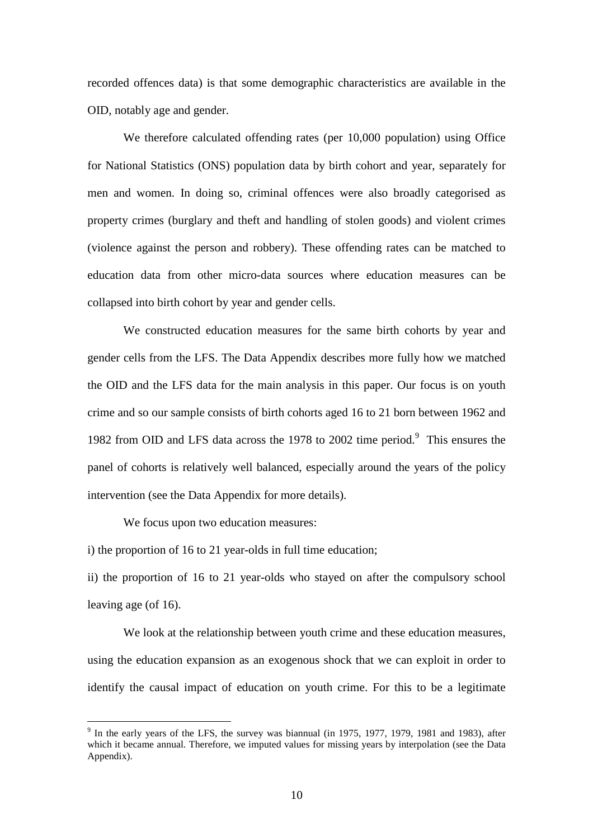recorded offences data) is that some demographic characteristics are available in the OID, notably age and gender.

We therefore calculated offending rates (per 10,000 population) using Office for National Statistics (ONS) population data by birth cohort and year, separately for men and women. In doing so, criminal offences were also broadly categorised as property crimes (burglary and theft and handling of stolen goods) and violent crimes (violence against the person and robbery). These offending rates can be matched to education data from other micro-data sources where education measures can be collapsed into birth cohort by year and gender cells.

We constructed education measures for the same birth cohorts by year and gender cells from the LFS. The Data Appendix describes more fully how we matched the OID and the LFS data for the main analysis in this paper. Our focus is on youth crime and so our sample consists of birth cohorts aged 16 to 21 born between 1962 and 1982 from OID and LFS data across the 1978 to 2002 time period.<sup>9</sup> This ensures the panel of cohorts is relatively well balanced, especially around the years of the policy intervention (see the Data Appendix for more details).

We focus upon two education measures:

 $\overline{a}$ 

i) the proportion of 16 to 21 year-olds in full time education;

ii) the proportion of 16 to 21 year-olds who stayed on after the compulsory school leaving age (of 16).

 We look at the relationship between youth crime and these education measures, using the education expansion as an exogenous shock that we can exploit in order to identify the causal impact of education on youth crime. For this to be a legitimate

 $9$  In the early years of the LFS, the survey was biannual (in 1975, 1977, 1979, 1981 and 1983), after which it became annual. Therefore, we imputed values for missing years by interpolation (see the Data Appendix).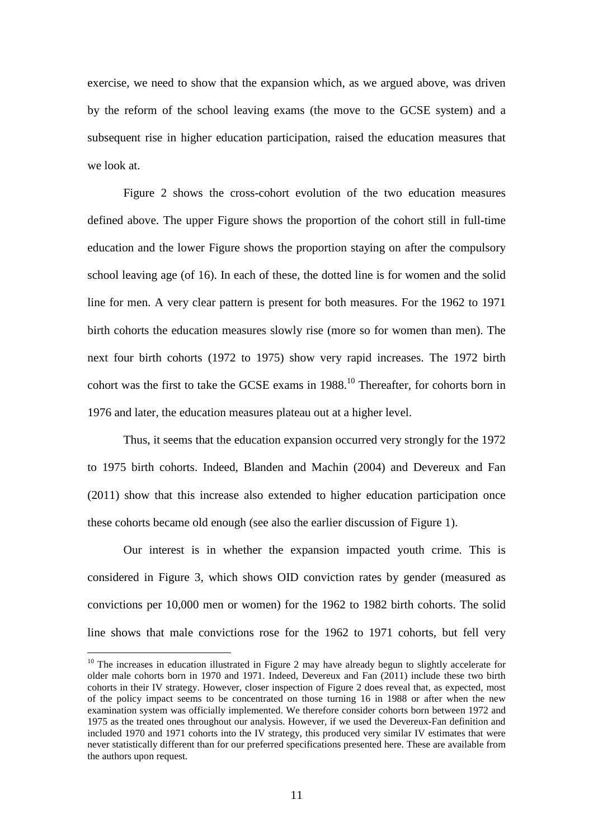exercise, we need to show that the expansion which, as we argued above, was driven by the reform of the school leaving exams (the move to the GCSE system) and a subsequent rise in higher education participation, raised the education measures that we look at.

 Figure 2 shows the cross-cohort evolution of the two education measures defined above. The upper Figure shows the proportion of the cohort still in full-time education and the lower Figure shows the proportion staying on after the compulsory school leaving age (of 16). In each of these, the dotted line is for women and the solid line for men. A very clear pattern is present for both measures. For the 1962 to 1971 birth cohorts the education measures slowly rise (more so for women than men). The next four birth cohorts (1972 to 1975) show very rapid increases. The 1972 birth cohort was the first to take the GCSE exams in  $1988$ .<sup>10</sup> Thereafter, for cohorts born in 1976 and later, the education measures plateau out at a higher level.

 Thus, it seems that the education expansion occurred very strongly for the 1972 to 1975 birth cohorts. Indeed, Blanden and Machin (2004) and Devereux and Fan (2011) show that this increase also extended to higher education participation once these cohorts became old enough (see also the earlier discussion of Figure 1).

Our interest is in whether the expansion impacted youth crime. This is considered in Figure 3, which shows OID conviction rates by gender (measured as convictions per 10,000 men or women) for the 1962 to 1982 birth cohorts. The solid line shows that male convictions rose for the 1962 to 1971 cohorts, but fell very

<sup>&</sup>lt;sup>10</sup> The increases in education illustrated in Figure 2 may have already begun to slightly accelerate for older male cohorts born in 1970 and 1971. Indeed, Devereux and Fan (2011) include these two birth cohorts in their IV strategy. However, closer inspection of Figure 2 does reveal that, as expected, most of the policy impact seems to be concentrated on those turning 16 in 1988 or after when the new examination system was officially implemented. We therefore consider cohorts born between 1972 and 1975 as the treated ones throughout our analysis. However, if we used the Devereux-Fan definition and included 1970 and 1971 cohorts into the IV strategy, this produced very similar IV estimates that were never statistically different than for our preferred specifications presented here. These are available from the authors upon request.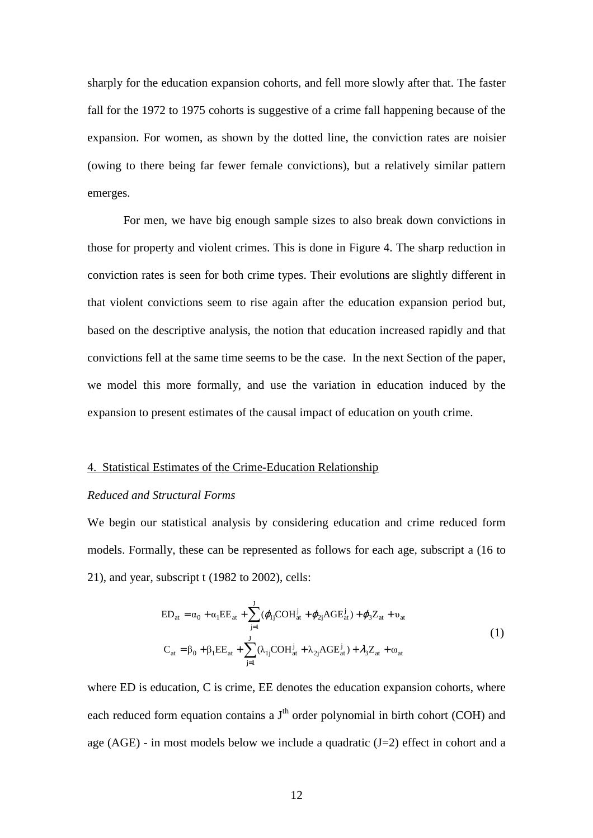sharply for the education expansion cohorts, and fell more slowly after that. The faster fall for the 1972 to 1975 cohorts is suggestive of a crime fall happening because of the expansion. For women, as shown by the dotted line, the conviction rates are noisier (owing to there being far fewer female convictions), but a relatively similar pattern emerges.

 For men, we have big enough sample sizes to also break down convictions in those for property and violent crimes. This is done in Figure 4. The sharp reduction in conviction rates is seen for both crime types. Their evolutions are slightly different in that violent convictions seem to rise again after the education expansion period but, based on the descriptive analysis, the notion that education increased rapidly and that convictions fell at the same time seems to be the case. In the next Section of the paper, we model this more formally, and use the variation in education induced by the expansion to present estimates of the causal impact of education on youth crime.

# 4. Statistical Estimates of the Crime-Education Relationship

# *Reduced and Structural Forms*

We begin our statistical analysis by considering education and crime reduced form models. Formally, these can be represented as follows for each age, subscript a (16 to 21), and year, subscript t (1982 to 2002), cells:

$$
ED_{at} = \alpha_0 + \alpha_1 EE_{at} + \sum_{j=1}^{J} (\varphi_{lj} COH_{at}^j + \varphi_{2j} AGE_{at}^j) + \varphi_3 Z_{at} + \upsilon_{at}
$$
  

$$
C_{at} = \beta_0 + \beta_1 EE_{at} + \sum_{j=1}^{J} (\lambda_{lj} COH_{at}^j + \lambda_{2j} AGE_{at}^j) + \lambda_3 Z_{at} + \omega_{at}
$$
 (1)

where ED is education, C is crime, EE denotes the education expansion cohorts, where each reduced form equation contains a J<sup>th</sup> order polynomial in birth cohort (COH) and age (AGE) - in most models below we include a quadratic  $(J=2)$  effect in cohort and a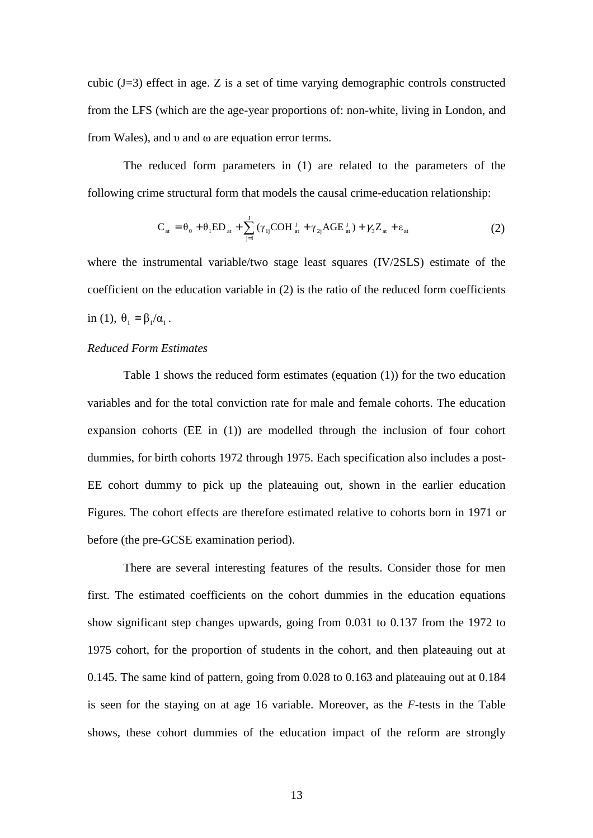cubic  $(J=3)$  effect in age. Z is a set of time varying demographic controls constructed from the LFS (which are the age-year proportions of: non-white, living in London, and from Wales), and υ and ω are equation error terms.

The reduced form parameters in (1) are related to the parameters of the following crime structural form that models the causal crime-education relationship:

$$
C_{at} = \theta_0 + \theta_1 ED_{at} + \sum_{j=1}^{J} (\gamma_{1j} COH_{at}^{j} + \gamma_{2j} AGE_{at}^{j}) + \gamma_3 Z_{at} + \varepsilon_{at}
$$
 (2)

where the instrumental variable/two stage least squares (IV/2SLS) estimate of the coefficient on the education variable in (2) is the ratio of the reduced form coefficients in (1),  $\theta_1 = \beta_1 / \alpha_1$ .

# *Reduced Form Estimates*

 Table 1 shows the reduced form estimates (equation (1)) for the two education variables and for the total conviction rate for male and female cohorts. The education expansion cohorts (EE in (1)) are modelled through the inclusion of four cohort dummies, for birth cohorts 1972 through 1975. Each specification also includes a post-EE cohort dummy to pick up the plateauing out, shown in the earlier education Figures. The cohort effects are therefore estimated relative to cohorts born in 1971 or before (the pre-GCSE examination period).

 There are several interesting features of the results. Consider those for men first. The estimated coefficients on the cohort dummies in the education equations show significant step changes upwards, going from 0.031 to 0.137 from the 1972 to 1975 cohort, for the proportion of students in the cohort, and then plateauing out at 0.145. The same kind of pattern, going from 0.028 to 0.163 and plateauing out at 0.184 is seen for the staying on at age 16 variable. Moreover, as the *F*-tests in the Table shows, these cohort dummies of the education impact of the reform are strongly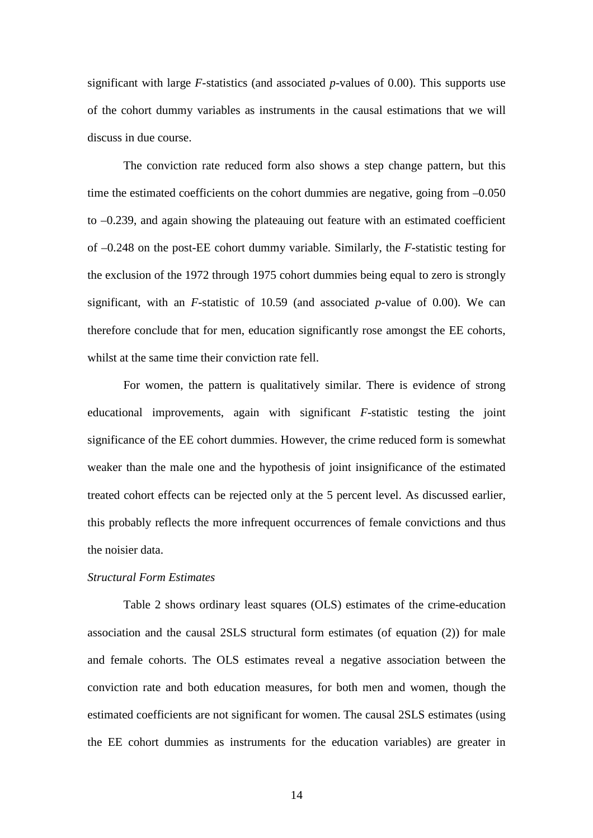significant with large *F*-statistics (and associated *p*-values of 0.00). This supports use of the cohort dummy variables as instruments in the causal estimations that we will discuss in due course.

 The conviction rate reduced form also shows a step change pattern, but this time the estimated coefficients on the cohort dummies are negative, going from –0.050 to –0.239, and again showing the plateauing out feature with an estimated coefficient of –0.248 on the post-EE cohort dummy variable. Similarly, the *F*-statistic testing for the exclusion of the 1972 through 1975 cohort dummies being equal to zero is strongly significant, with an *F*-statistic of 10.59 (and associated *p*-value of 0.00). We can therefore conclude that for men, education significantly rose amongst the EE cohorts, whilst at the same time their conviction rate fell.

 For women, the pattern is qualitatively similar. There is evidence of strong educational improvements, again with significant *F*-statistic testing the joint significance of the EE cohort dummies. However, the crime reduced form is somewhat weaker than the male one and the hypothesis of joint insignificance of the estimated treated cohort effects can be rejected only at the 5 percent level. As discussed earlier, this probably reflects the more infrequent occurrences of female convictions and thus the noisier data.

# *Structural Form Estimates*

 Table 2 shows ordinary least squares (OLS) estimates of the crime-education association and the causal 2SLS structural form estimates (of equation (2)) for male and female cohorts. The OLS estimates reveal a negative association between the conviction rate and both education measures, for both men and women, though the estimated coefficients are not significant for women. The causal 2SLS estimates (using the EE cohort dummies as instruments for the education variables) are greater in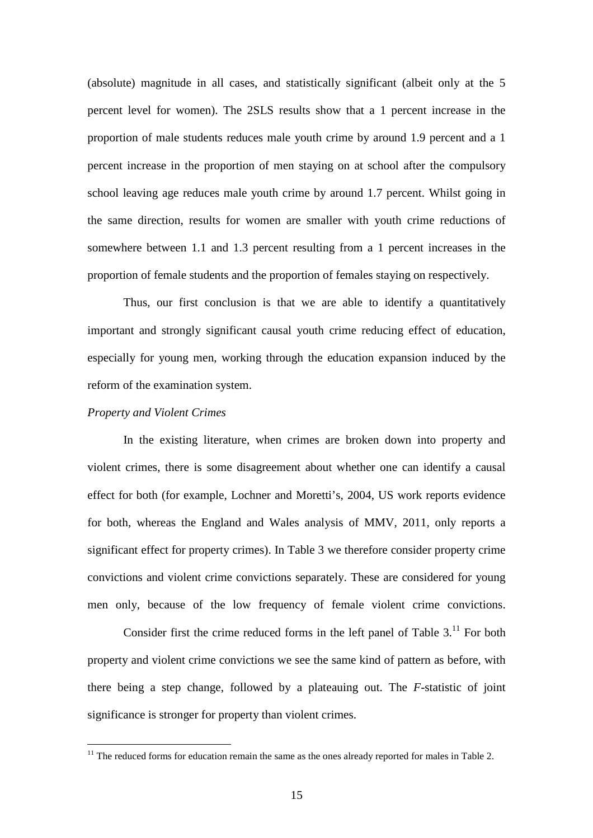(absolute) magnitude in all cases, and statistically significant (albeit only at the 5 percent level for women). The 2SLS results show that a 1 percent increase in the proportion of male students reduces male youth crime by around 1.9 percent and a 1 percent increase in the proportion of men staying on at school after the compulsory school leaving age reduces male youth crime by around 1.7 percent. Whilst going in the same direction, results for women are smaller with youth crime reductions of somewhere between 1.1 and 1.3 percent resulting from a 1 percent increases in the proportion of female students and the proportion of females staying on respectively.

Thus, our first conclusion is that we are able to identify a quantitatively important and strongly significant causal youth crime reducing effect of education, especially for young men, working through the education expansion induced by the reform of the examination system.

### *Property and Violent Crimes*

 $\overline{a}$ 

 In the existing literature, when crimes are broken down into property and violent crimes, there is some disagreement about whether one can identify a causal effect for both (for example, Lochner and Moretti's, 2004, US work reports evidence for both, whereas the England and Wales analysis of MMV, 2011, only reports a significant effect for property crimes). In Table 3 we therefore consider property crime convictions and violent crime convictions separately. These are considered for young men only, because of the low frequency of female violent crime convictions.

Consider first the crime reduced forms in the left panel of Table  $3<sup>11</sup>$  For both property and violent crime convictions we see the same kind of pattern as before, with there being a step change, followed by a plateauing out. The *F*-statistic of joint significance is stronger for property than violent crimes.

 $11$  The reduced forms for education remain the same as the ones already reported for males in Table 2.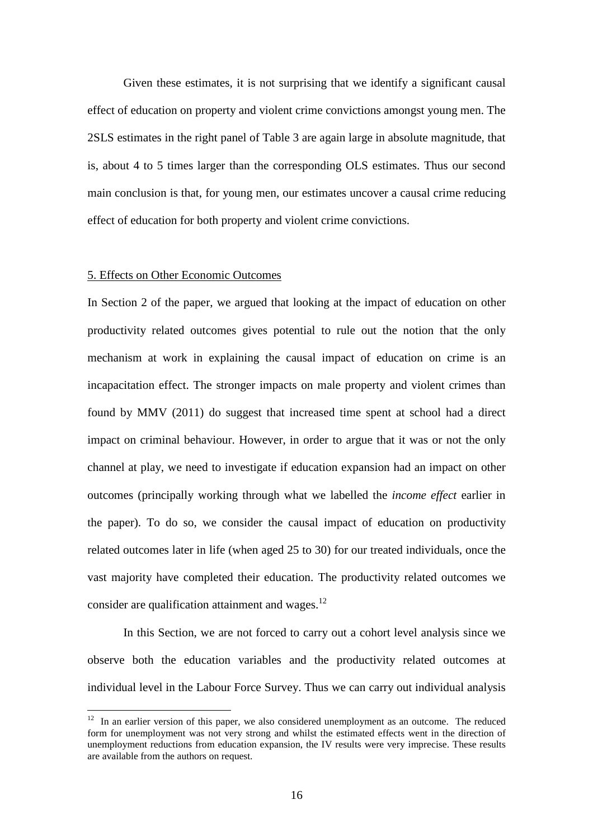Given these estimates, it is not surprising that we identify a significant causal effect of education on property and violent crime convictions amongst young men. The 2SLS estimates in the right panel of Table 3 are again large in absolute magnitude, that is, about 4 to 5 times larger than the corresponding OLS estimates. Thus our second main conclusion is that, for young men, our estimates uncover a causal crime reducing effect of education for both property and violent crime convictions.

### 5. Effects on Other Economic Outcomes

 $\overline{a}$ 

In Section 2 of the paper, we argued that looking at the impact of education on other productivity related outcomes gives potential to rule out the notion that the only mechanism at work in explaining the causal impact of education on crime is an incapacitation effect. The stronger impacts on male property and violent crimes than found by MMV (2011) do suggest that increased time spent at school had a direct impact on criminal behaviour. However, in order to argue that it was or not the only channel at play, we need to investigate if education expansion had an impact on other outcomes (principally working through what we labelled the *income effect* earlier in the paper). To do so, we consider the causal impact of education on productivity related outcomes later in life (when aged 25 to 30) for our treated individuals, once the vast majority have completed their education. The productivity related outcomes we consider are qualification attainment and wages. $^{12}$ 

 In this Section, we are not forced to carry out a cohort level analysis since we observe both the education variables and the productivity related outcomes at individual level in the Labour Force Survey. Thus we can carry out individual analysis

 $12$  In an earlier version of this paper, we also considered unemployment as an outcome. The reduced form for unemployment was not very strong and whilst the estimated effects went in the direction of unemployment reductions from education expansion, the IV results were very imprecise. These results are available from the authors on request.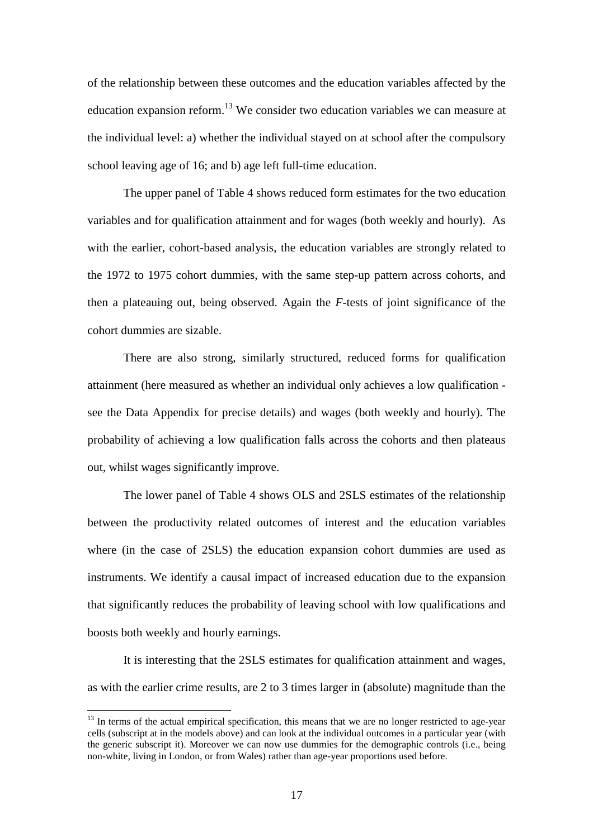of the relationship between these outcomes and the education variables affected by the education expansion reform.<sup>13</sup> We consider two education variables we can measure at the individual level: a) whether the individual stayed on at school after the compulsory school leaving age of 16; and b) age left full-time education.

 The upper panel of Table 4 shows reduced form estimates for the two education variables and for qualification attainment and for wages (both weekly and hourly). As with the earlier, cohort-based analysis, the education variables are strongly related to the 1972 to 1975 cohort dummies, with the same step-up pattern across cohorts, and then a plateauing out, being observed. Again the *F-*tests of joint significance of the cohort dummies are sizable.

 There are also strong, similarly structured, reduced forms for qualification attainment (here measured as whether an individual only achieves a low qualification see the Data Appendix for precise details) and wages (both weekly and hourly). The probability of achieving a low qualification falls across the cohorts and then plateaus out, whilst wages significantly improve.

The lower panel of Table 4 shows OLS and 2SLS estimates of the relationship between the productivity related outcomes of interest and the education variables where (in the case of 2SLS) the education expansion cohort dummies are used as instruments. We identify a causal impact of increased education due to the expansion that significantly reduces the probability of leaving school with low qualifications and boosts both weekly and hourly earnings.

It is interesting that the 2SLS estimates for qualification attainment and wages, as with the earlier crime results, are 2 to 3 times larger in (absolute) magnitude than the

<sup>&</sup>lt;sup>13</sup> In terms of the actual empirical specification, this means that we are no longer restricted to age-year cells (subscript at in the models above) and can look at the individual outcomes in a particular year (with the generic subscript it). Moreover we can now use dummies for the demographic controls (i.e., being non-white, living in London, or from Wales) rather than age-year proportions used before.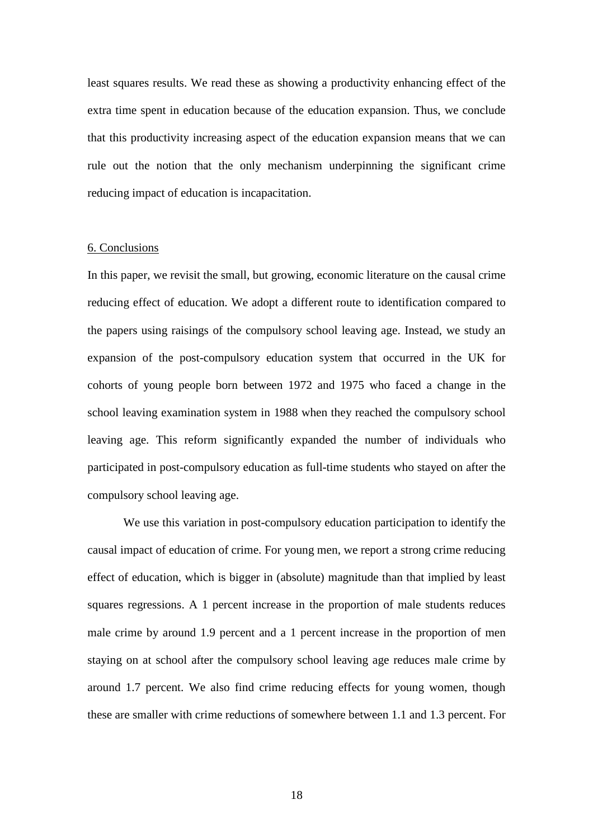least squares results. We read these as showing a productivity enhancing effect of the extra time spent in education because of the education expansion. Thus, we conclude that this productivity increasing aspect of the education expansion means that we can rule out the notion that the only mechanism underpinning the significant crime reducing impact of education is incapacitation.

# 6. Conclusions

In this paper, we revisit the small, but growing, economic literature on the causal crime reducing effect of education. We adopt a different route to identification compared to the papers using raisings of the compulsory school leaving age. Instead, we study an expansion of the post-compulsory education system that occurred in the UK for cohorts of young people born between 1972 and 1975 who faced a change in the school leaving examination system in 1988 when they reached the compulsory school leaving age. This reform significantly expanded the number of individuals who participated in post-compulsory education as full-time students who stayed on after the compulsory school leaving age.

We use this variation in post-compulsory education participation to identify the causal impact of education of crime. For young men, we report a strong crime reducing effect of education, which is bigger in (absolute) magnitude than that implied by least squares regressions. A 1 percent increase in the proportion of male students reduces male crime by around 1.9 percent and a 1 percent increase in the proportion of men staying on at school after the compulsory school leaving age reduces male crime by around 1.7 percent. We also find crime reducing effects for young women, though these are smaller with crime reductions of somewhere between 1.1 and 1.3 percent. For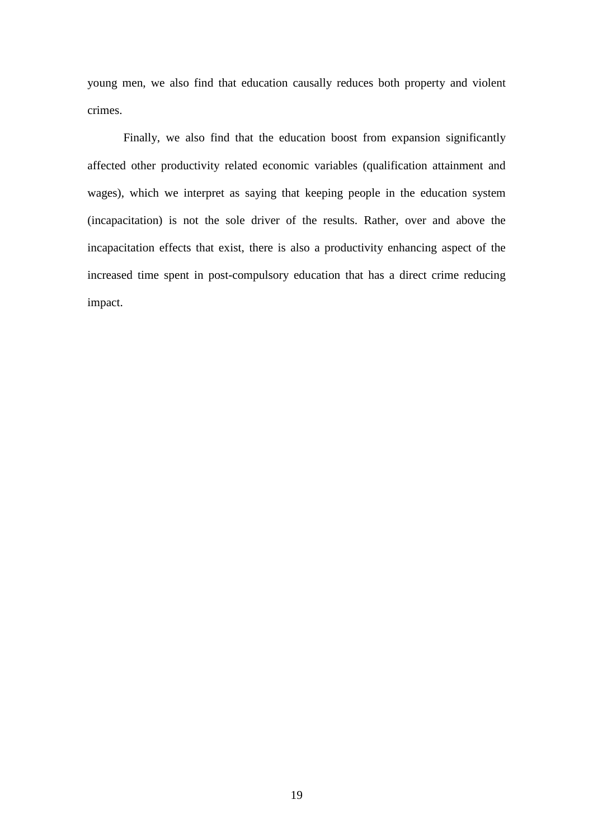young men, we also find that education causally reduces both property and violent crimes.

Finally, we also find that the education boost from expansion significantly affected other productivity related economic variables (qualification attainment and wages), which we interpret as saying that keeping people in the education system (incapacitation) is not the sole driver of the results. Rather, over and above the incapacitation effects that exist, there is also a productivity enhancing aspect of the increased time spent in post-compulsory education that has a direct crime reducing impact.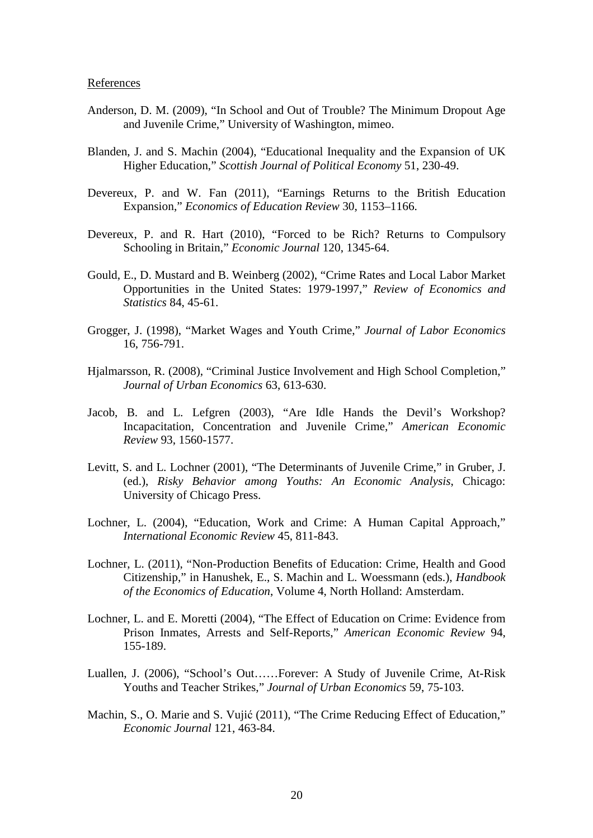#### References

- Anderson, D. M. (2009), "In School and Out of Trouble? The Minimum Dropout Age and Juvenile Crime," University of Washington, mimeo.
- Blanden, J. and S. Machin (2004), "Educational Inequality and the Expansion of UK Higher Education," *Scottish Journal of Political Economy* 51, 230-49.
- Devereux, P. and W. Fan (2011), "Earnings Returns to the British Education Expansion," *Economics of Education Review* 30, 1153–1166.
- Devereux, P. and R. Hart (2010), "Forced to be Rich? Returns to Compulsory Schooling in Britain," *Economic Journal* 120, 1345-64.
- Gould, E., D. Mustard and B. Weinberg (2002), "Crime Rates and Local Labor Market Opportunities in the United States: 1979-1997," *Review of Economics and Statistics* 84, 45-61.
- Grogger, J. (1998), "Market Wages and Youth Crime," *Journal of Labor Economics* 16, 756-791.
- Hjalmarsson, R. (2008), "Criminal Justice Involvement and High School Completion," *Journal of Urban Economics* 63, 613-630.
- Jacob, B. and L. Lefgren (2003), "Are Idle Hands the Devil's Workshop? Incapacitation, Concentration and Juvenile Crime," *American Economic Review* 93, 1560-1577.
- Levitt, S. and L. Lochner (2001), "The Determinants of Juvenile Crime," in Gruber, J. (ed.), *Risky Behavior among Youths: An Economic Analysis*, Chicago: University of Chicago Press.
- Lochner, L. (2004), "Education, Work and Crime: A Human Capital Approach," *International Economic Review* 45, 811-843.
- Lochner, L. (2011), "Non-Production Benefits of Education: Crime, Health and Good Citizenship," in Hanushek, E., S. Machin and L. Woessmann (eds.), *Handbook of the Economics of Education*, Volume 4, North Holland: Amsterdam.
- Lochner, L. and E. Moretti (2004), "The Effect of Education on Crime: Evidence from Prison Inmates, Arrests and Self-Reports," *American Economic Review* 94, 155-189.
- Luallen, J. (2006), "School's Out……Forever: A Study of Juvenile Crime, At-Risk Youths and Teacher Strikes," *Journal of Urban Economics* 59, 75-103.
- Machin, S., O. Marie and S. Vujić (2011), "The Crime Reducing Effect of Education," *Economic Journal* 121, 463-84.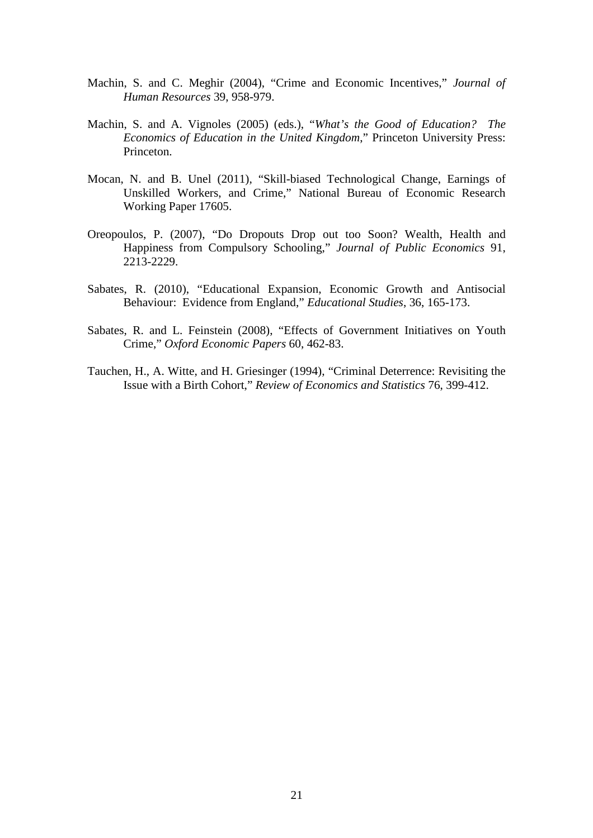- Machin, S. and C. Meghir (2004), "Crime and Economic Incentives," *Journal of Human Resources* 39, 958-979.
- Machin, S. and A. Vignoles (2005) (eds.), "*What's the Good of Education? The Economics of Education in the United Kingdom*," Princeton University Press: Princeton.
- Mocan, N. and B. Unel (2011), "Skill-biased Technological Change, Earnings of Unskilled Workers, and Crime," National Bureau of Economic Research Working Paper 17605.
- Oreopoulos, P. (2007), "Do Dropouts Drop out too Soon? Wealth, Health and Happiness from Compulsory Schooling," *Journal of Public Economics* 91, 2213-2229.
- Sabates, R. (2010), "Educational Expansion, Economic Growth and Antisocial Behaviour: Evidence from England," *Educational Studies*, 36, 165-173.
- Sabates, R. and L. Feinstein (2008), "Effects of Government Initiatives on Youth Crime," *Oxford Economic Papers* 60, 462-83.
- Tauchen, H., A. Witte, and H. Griesinger (1994), "Criminal Deterrence: Revisiting the Issue with a Birth Cohort," *Review of Economics and Statistics* 76, 399-412.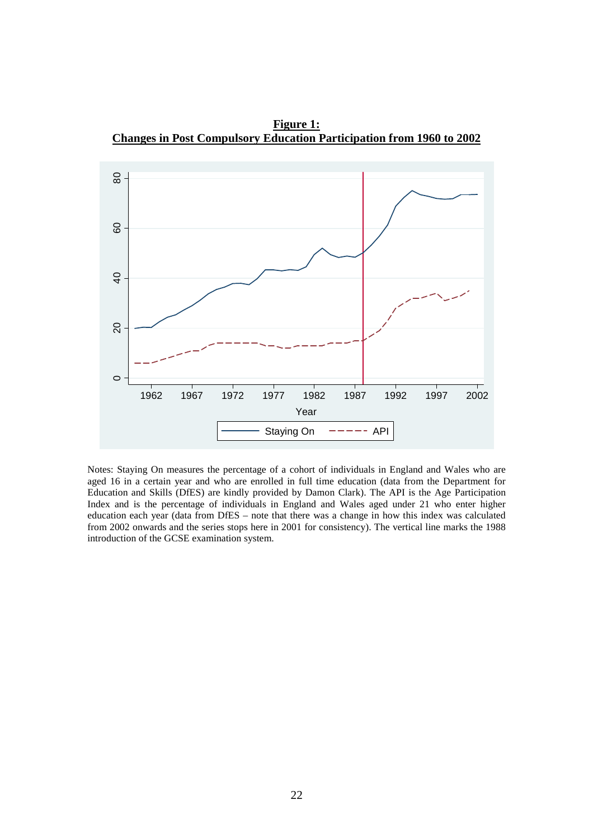**Figure 1: Changes in Post Compulsory Education Participation from 1960 to 2002**



Notes: Staying On measures the percentage of a cohort of individuals in England and Wales who are aged 16 in a certain year and who are enrolled in full time education (data from the Department for Education and Skills (DfES) are kindly provided by Damon Clark). The API is the Age Participation Index and is the percentage of individuals in England and Wales aged under 21 who enter higher education each year (data from DfES – note that there was a change in how this index was calculated from 2002 onwards and the series stops here in 2001 for consistency). The vertical line marks the 1988 introduction of the GCSE examination system.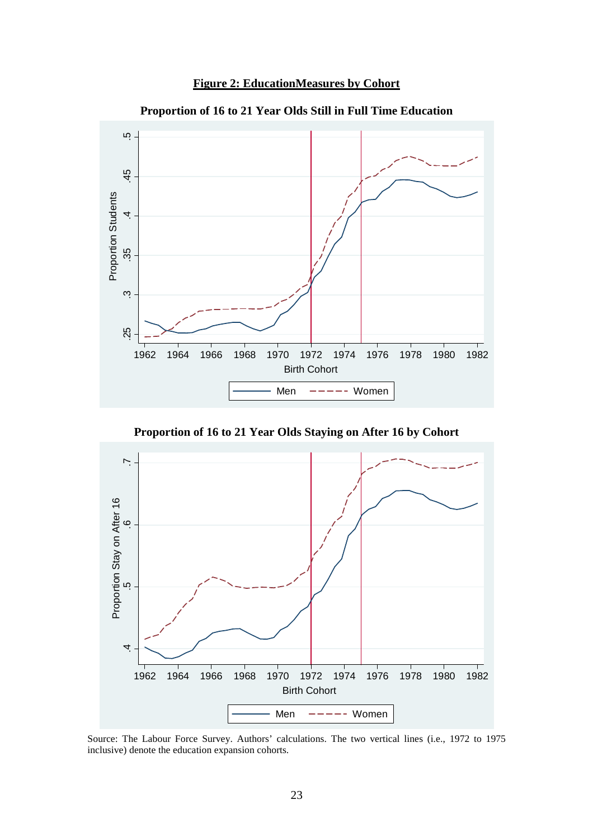



**Proportion of 16 to 21 Year Olds Still in Full Time Education** 

**Proportion of 16 to 21 Year Olds Staying on After 16 by Cohort** 



Source: The Labour Force Survey. Authors' calculations. The two vertical lines (i.e., 1972 to 1975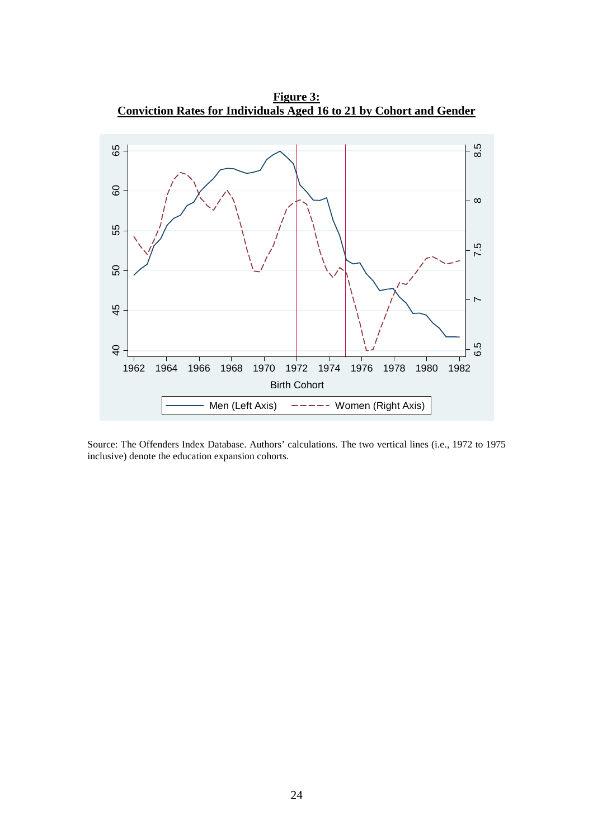

**Figure 3: Conviction Rates for Individuals Aged 16 to 21 by Cohort and Gender**

Source: The Offenders Index Database. Authors' calculations. The two vertical lines (i.e., 1972 to 1975 inclusive) denote the education expansion cohorts.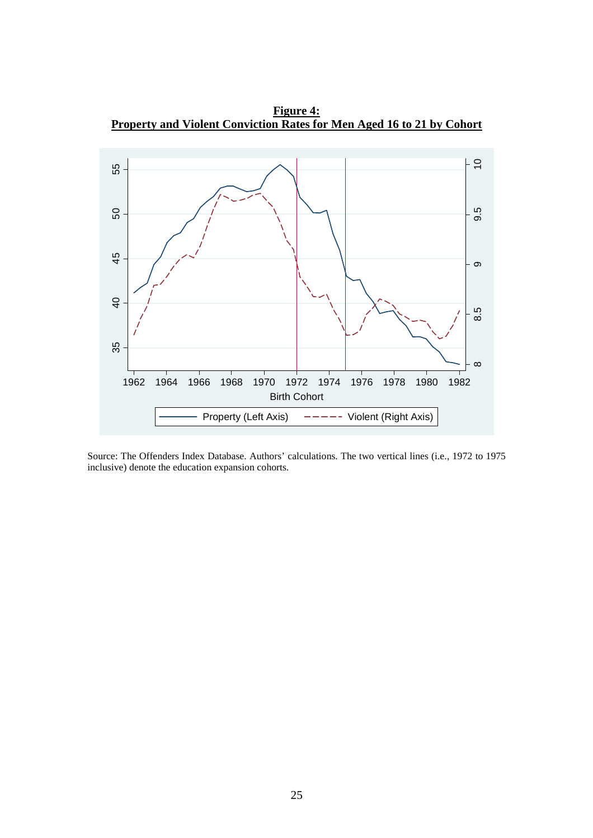**Figure 4: Property and Violent Conviction Rates for Men Aged 16 to 21 by Cohort** 



Source: The Offenders Index Database. Authors' calculations. The two vertical lines (i.e., 1972 to 1975 inclusive) denote the education expansion cohorts.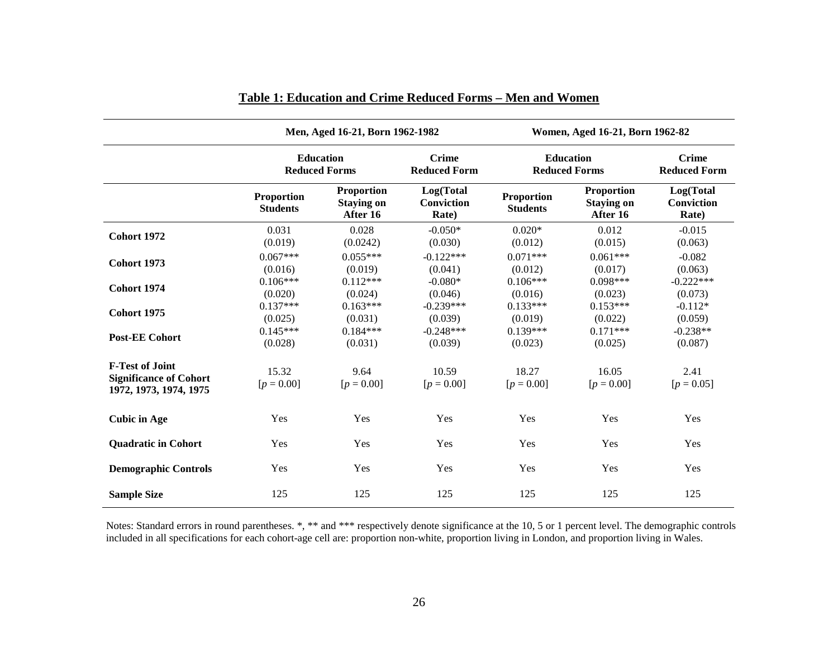|                                                                                   | Men, Aged 16-21, Born 1962-1982          |                                                    |                                     | Women, Aged 16-21, Born 1962-82          |                                                    |                                     |  |
|-----------------------------------------------------------------------------------|------------------------------------------|----------------------------------------------------|-------------------------------------|------------------------------------------|----------------------------------------------------|-------------------------------------|--|
|                                                                                   | <b>Education</b><br><b>Reduced Forms</b> |                                                    | <b>Crime</b><br><b>Reduced Form</b> | <b>Education</b><br><b>Reduced Forms</b> |                                                    | <b>Crime</b><br><b>Reduced Form</b> |  |
|                                                                                   | <b>Proportion</b><br><b>Students</b>     | <b>Proportion</b><br><b>Staying on</b><br>After 16 | Log(Total<br>Conviction<br>Rate)    | <b>Proportion</b><br><b>Students</b>     | <b>Proportion</b><br><b>Staying on</b><br>After 16 | Log(Total<br>Conviction<br>Rate)    |  |
| <b>Cohort 1972</b>                                                                | 0.031<br>(0.019)                         | 0.028<br>(0.0242)                                  | $-0.050*$<br>(0.030)                | $0.020*$<br>(0.012)                      | 0.012<br>(0.015)                                   | $-0.015$<br>(0.063)                 |  |
| <b>Cohort 1973</b>                                                                | $0.067***$<br>(0.016)                    | $0.055***$<br>(0.019)                              | $-0.122***$<br>(0.041)              | $0.071***$<br>(0.012)                    | $0.061***$<br>(0.017)                              | $-0.082$<br>(0.063)                 |  |
| Cohort 1974                                                                       | $0.106***$<br>(0.020)                    | $0.112***$<br>(0.024)                              | $-0.080*$<br>(0.046)                | $0.106***$<br>(0.016)                    | $0.098***$<br>(0.023)                              | $-0.222***$<br>(0.073)              |  |
| Cohort 1975                                                                       | $0.137***$<br>(0.025)                    | $0.163***$<br>(0.031)                              | $-0.239***$<br>(0.039)              | $0.133***$<br>(0.019)                    | $0.153***$<br>(0.022)                              | $-0.112*$<br>(0.059)                |  |
| <b>Post-EE Cohort</b>                                                             | $0.145***$<br>(0.028)                    | $0.184***$<br>(0.031)                              | $-0.248***$<br>(0.039)              | $0.139***$<br>(0.023)                    | $0.171***$<br>(0.025)                              | $-0.238**$<br>(0.087)               |  |
| <b>F-Test of Joint</b><br><b>Significance of Cohort</b><br>1972, 1973, 1974, 1975 | 15.32<br>$[p = 0.00]$                    | 9.64<br>$[p = 0.00]$                               | 10.59<br>$[p = 0.00]$               | 18.27<br>$[p = 0.00]$                    | 16.05<br>$[p = 0.00]$                              | 2.41<br>$[p = 0.05]$                |  |
| <b>Cubic in Age</b>                                                               | Yes                                      | Yes                                                | Yes                                 | Yes                                      | Yes                                                | Yes                                 |  |
| <b>Quadratic in Cohort</b>                                                        | Yes                                      | Yes                                                | Yes                                 | Yes                                      | Yes                                                | Yes                                 |  |
| <b>Demographic Controls</b>                                                       | Yes                                      | Yes                                                | Yes                                 | Yes                                      | Yes                                                | Yes                                 |  |
| <b>Sample Size</b>                                                                | 125                                      | 125                                                | 125                                 | 125                                      | 125                                                | 125                                 |  |

# **Table 1: Education and Crime Reduced Forms – Men and Women**

Notes: Standard errors in round parentheses. \*, \*\* and \*\*\* respectively denote significance at the 10, 5 or 1 percent level. The demographic controls included in all specifications for each cohort-age cell are: proportion non-white, proportion living in London, and proportion living in Wales.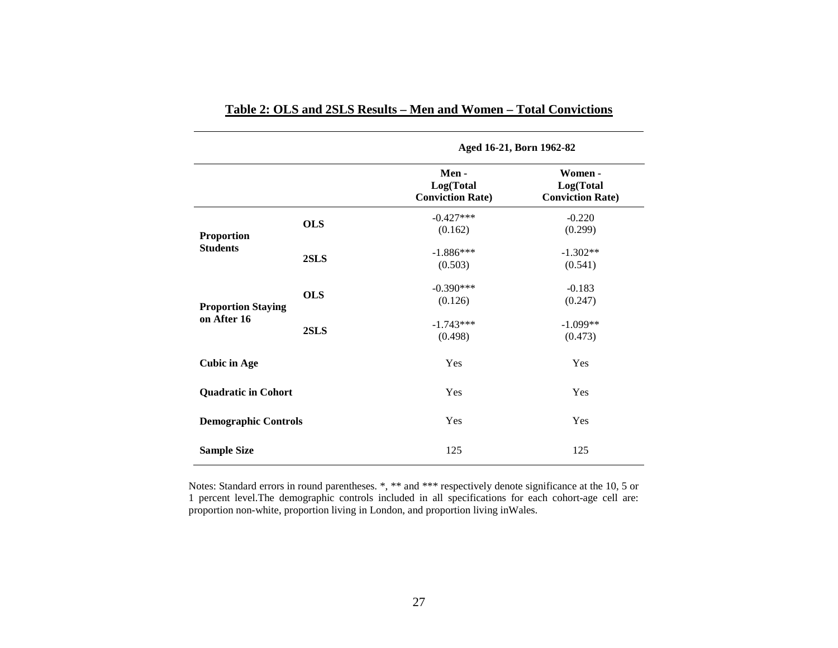|                                      |            | Aged 16-21, Born 1962-82                     |                                                 |  |  |  |
|--------------------------------------|------------|----------------------------------------------|-------------------------------------------------|--|--|--|
|                                      |            | Men-<br>Log(Total<br><b>Conviction Rate)</b> | Women -<br>Log(Total<br><b>Conviction Rate)</b> |  |  |  |
| <b>Proportion</b><br><b>Students</b> | <b>OLS</b> | $-0.427***$<br>(0.162)                       | $-0.220$<br>(0.299)                             |  |  |  |
|                                      | 2SLS       | $-1.886***$<br>(0.503)                       | $-1.302**$<br>(0.541)                           |  |  |  |
| <b>Proportion Staying</b>            | <b>OLS</b> | $-0.390***$<br>(0.126)                       | $-0.183$<br>(0.247)                             |  |  |  |
| on After 16                          | 2SLS       | $-1.743***$<br>(0.498)                       | $-1.099**$<br>(0.473)                           |  |  |  |
| <b>Cubic in Age</b>                  |            | Yes                                          | Yes                                             |  |  |  |
| <b>Quadratic in Cohort</b>           |            | Yes                                          | Yes                                             |  |  |  |
| <b>Demographic Controls</b>          |            | Yes                                          | Yes                                             |  |  |  |
| <b>Sample Size</b>                   |            | 125                                          | 125                                             |  |  |  |

# **Table 2: OLS and 2SLS Results – Men and Women – Total Convictions**

Notes: Standard errors in round parentheses. \*, \*\* and \*\*\* respectively denote significance at the 10, 5 or 1 percent level.The demographic controls included in all specifications for each cohort-age cell are: proportion non-white, proportion living in London, and proportion living inWales.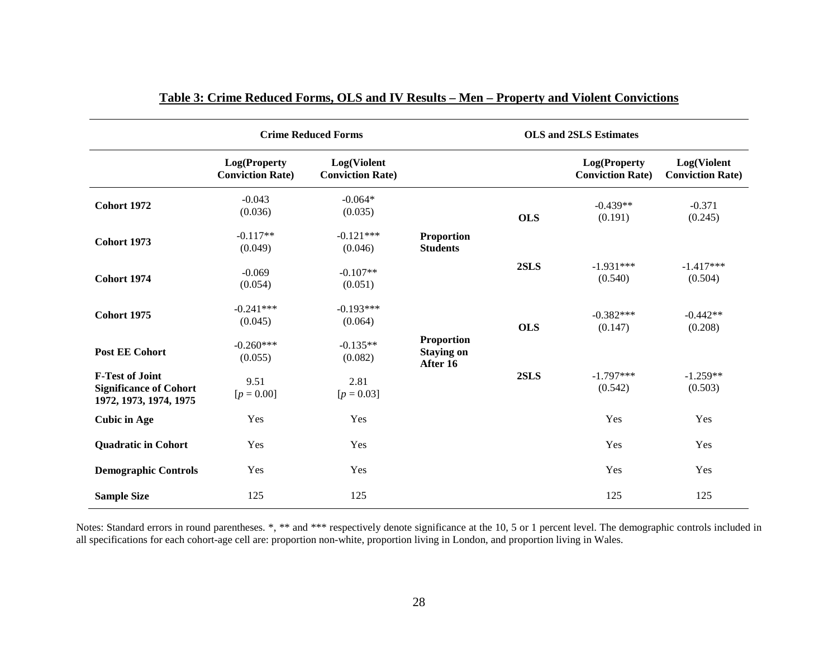|                                                                                   |                                         | <b>Crime Reduced Forms</b>             |                                                    | <b>OLS</b> and 2SLS Estimates |                                         |                                        |
|-----------------------------------------------------------------------------------|-----------------------------------------|----------------------------------------|----------------------------------------------------|-------------------------------|-----------------------------------------|----------------------------------------|
|                                                                                   | Log(Property<br><b>Conviction Rate)</b> | Log(Violent<br><b>Conviction Rate)</b> |                                                    |                               | Log(Property<br><b>Conviction Rate)</b> | Log(Violent<br><b>Conviction Rate)</b> |
| <b>Cohort 1972</b>                                                                | $-0.043$<br>(0.036)                     | $-0.064*$<br>(0.035)                   |                                                    | <b>OLS</b>                    | $-0.439**$<br>(0.191)                   | $-0.371$<br>(0.245)                    |
| <b>Cohort 1973</b>                                                                | $-0.117**$<br>(0.049)                   | $-0.121***$<br>(0.046)                 | Proportion<br><b>Students</b>                      |                               |                                         |                                        |
| <b>Cohort 1974</b>                                                                | $-0.069$<br>(0.054)                     | $-0.107**$<br>(0.051)                  |                                                    | 2SLS                          | $-1.931***$<br>(0.540)                  | $-1.417***$<br>(0.504)                 |
| <b>Cohort 1975</b>                                                                | $-0.241***$<br>(0.045)                  | $-0.193***$<br>(0.064)                 |                                                    | <b>OLS</b>                    | $-0.382***$<br>(0.147)                  | $-0.442**$<br>(0.208)                  |
| <b>Post EE Cohort</b>                                                             | $-0.260***$<br>(0.055)                  | $-0.135**$<br>(0.082)                  | <b>Proportion</b><br><b>Staying on</b><br>After 16 |                               |                                         |                                        |
| <b>F-Test of Joint</b><br><b>Significance of Cohort</b><br>1972, 1973, 1974, 1975 | 9.51<br>$[p = 0.00]$                    | 2.81<br>$[p = 0.03]$                   |                                                    | 2SLS                          | $-1.797***$<br>(0.542)                  | $-1.259**$<br>(0.503)                  |
| <b>Cubic in Age</b>                                                               | Yes                                     | Yes                                    |                                                    |                               | Yes                                     | Yes                                    |
| <b>Quadratic in Cohort</b>                                                        | Yes                                     | Yes                                    |                                                    |                               | Yes                                     | Yes                                    |
| <b>Demographic Controls</b>                                                       | Yes                                     | Yes                                    |                                                    |                               | Yes                                     | Yes                                    |
| <b>Sample Size</b>                                                                | 125                                     | 125                                    |                                                    |                               | 125                                     | 125                                    |

# **Table 3: Crime Reduced Forms, OLS and IV Results – Men – Property and Violent Convictions**

Notes: Standard errors in round parentheses. \*, \*\* and \*\*\* respectively denote significance at the 10, 5 or 1 percent level. The demographic controls included in<br>all specifications for each cohort-age cell are: proportion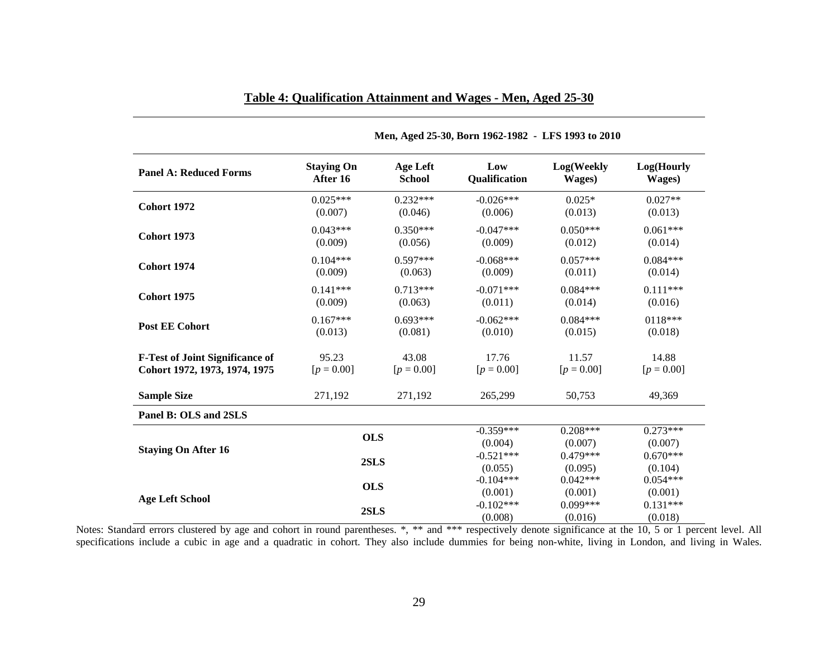| <b>Panel A: Reduced Forms</b>          | <b>Staying On</b> | <b>Age Left</b> | Low                    | Log(Weekly            | Log(Hourly            |
|----------------------------------------|-------------------|-----------------|------------------------|-----------------------|-----------------------|
|                                        | After 16          | <b>School</b>   | Qualification          | Wages)                | Wages)                |
| <b>Cohort 1972</b>                     | $0.025***$        | $0.232***$      | $-0.026***$            | $0.025*$              | $0.027**$             |
|                                        | (0.007)           | (0.046)         | (0.006)                | (0.013)               | (0.013)               |
| <b>Cohort 1973</b>                     | $0.043***$        | $0.350***$      | $-0.047***$            | $0.050***$            | $0.061***$            |
|                                        | (0.009)           | (0.056)         | (0.009)                | (0.012)               | (0.014)               |
| <b>Cohort 1974</b>                     | $0.104***$        | $0.597***$      | $-0.068***$            | $0.057***$            | $0.084***$            |
|                                        | (0.009)           | (0.063)         | (0.009)                | (0.011)               | (0.014)               |
| Cohort 1975                            | $0.141***$        | $0.713***$      | $-0.071***$            | $0.084***$            | $0.111***$            |
|                                        | (0.009)           | (0.063)         | (0.011)                | (0.014)               | (0.016)               |
| <b>Post EE Cohort</b>                  | $0.167***$        | $0.693***$      | $-0.062***$            | $0.084***$            | 0118***               |
|                                        | (0.013)           | (0.081)         | (0.010)                | (0.015)               | (0.018)               |
| <b>F-Test of Joint Significance of</b> | 95.23             | 43.08           | 17.76                  | 11.57                 | 14.88                 |
| Cohort 1972, 1973, 1974, 1975          | $[p = 0.00]$      | $[p = 0.00]$    | $[p = 0.00]$           | $[p = 0.00]$          | $[p = 0.00]$          |
| <b>Sample Size</b>                     | 271,192           | 271,192         | 265,299                | 50,753                | 49,369                |
| Panel B: OLS and 2SLS                  |                   |                 |                        |                       |                       |
| <b>Staying On After 16</b>             | <b>OLS</b>        |                 | $-0.359***$<br>(0.004) | $0.208***$<br>(0.007) | $0.273***$<br>(0.007) |
|                                        | 2SLS              |                 | $-0.521***$<br>(0.055) | $0.479***$<br>(0.095) | $0.670***$<br>(0.104) |
| <b>Age Left School</b>                 | <b>OLS</b>        |                 | $-0.104***$<br>(0.001) | $0.042***$<br>(0.001) | $0.054***$<br>(0.001) |
|                                        | 2SLS              |                 | $-0.102***$<br>(0.008) | $0.099***$<br>(0.016) | $0.131***$<br>(0.018) |

# **Table 4: Qualification Attainment and Wages - Men, Aged 25-30**

**Men, Aged 25-30, Born 1962-1982 - LFS 1993 to 2010** 

Notes: Standard errors clustered by age and cohort in round parentheses. \*, \*\* and \*\*\* respectively denote significance at the 10, 5 or 1 percent level. All specifications include a cubic in age and a quadratic in cohort. They also include dummies for being non-white, living in London, and living in Wales.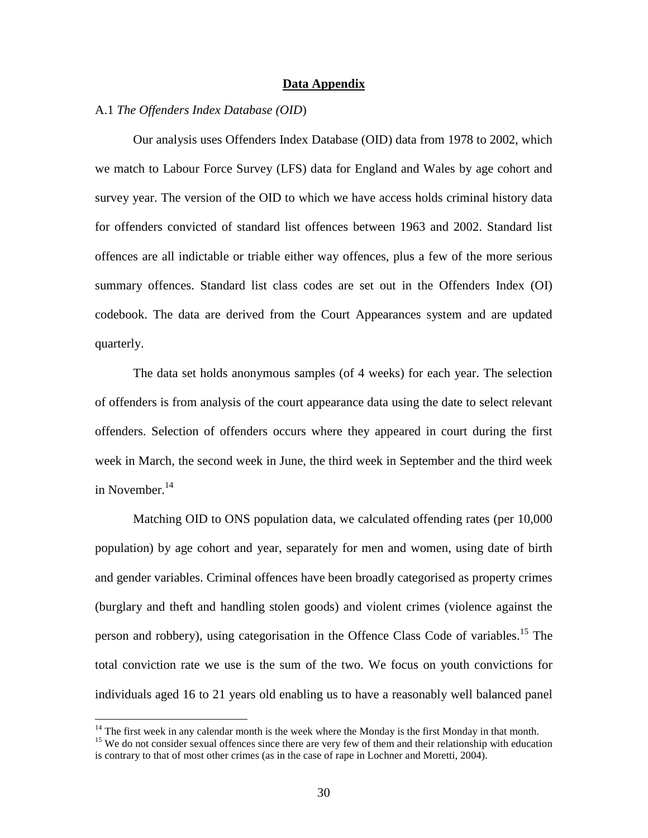### **Data Appendix**

### A.1 *The Offenders Index Database (OID*)

Our analysis uses Offenders Index Database (OID) data from 1978 to 2002, which we match to Labour Force Survey (LFS) data for England and Wales by age cohort and survey year. The version of the OID to which we have access holds criminal history data for offenders convicted of standard list offences between 1963 and 2002. Standard list offences are all indictable or triable either way offences, plus a few of the more serious summary offences. Standard list class codes are set out in the Offenders Index (OI) codebook. The data are derived from the Court Appearances system and are updated quarterly.

The data set holds anonymous samples (of 4 weeks) for each year. The selection of offenders is from analysis of the court appearance data using the date to select relevant offenders. Selection of offenders occurs where they appeared in court during the first week in March, the second week in June, the third week in September and the third week in November. $^{14}$ 

Matching OID to ONS population data, we calculated offending rates (per 10,000 population) by age cohort and year, separately for men and women, using date of birth and gender variables. Criminal offences have been broadly categorised as property crimes (burglary and theft and handling stolen goods) and violent crimes (violence against the person and robbery), using categorisation in the Offence Class Code of variables.<sup>15</sup> The total conviction rate we use is the sum of the two. We focus on youth convictions for individuals aged 16 to 21 years old enabling us to have a reasonably well balanced panel

<sup>&</sup>lt;sup>14</sup> The first week in any calendar month is the week where the Monday is the first Monday in that month.

<sup>&</sup>lt;sup>15</sup> We do not consider sexual offences since there are very few of them and their relationship with education is contrary to that of most other crimes (as in the case of rape in Lochner and Moretti, 2004).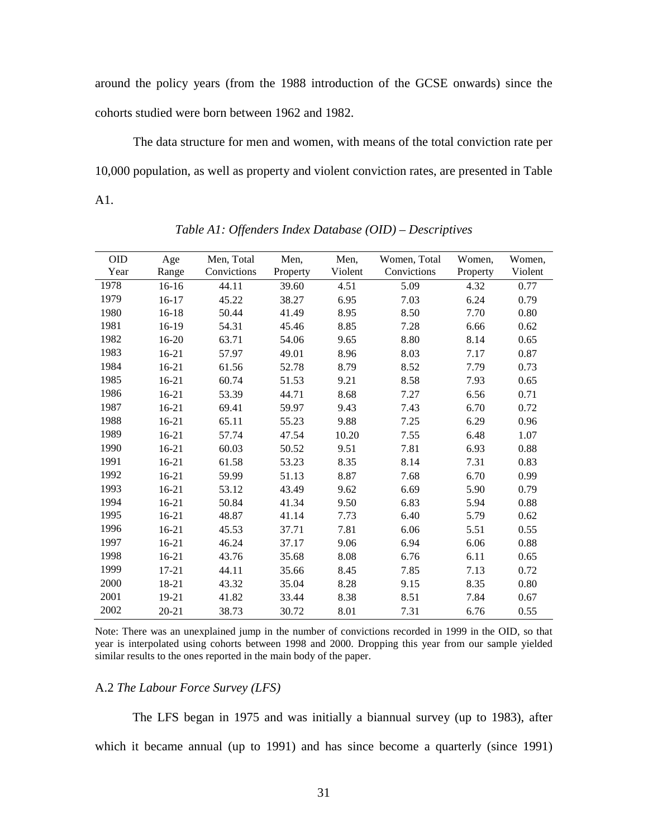around the policy years (from the 1988 introduction of the GCSE onwards) since the cohorts studied were born between 1962 and 1982.

The data structure for men and women, with means of the total conviction rate per 10,000 population, as well as property and violent conviction rates, are presented in Table A1.

| Age       | Men, Total  | Men,     | Men,    | Women, Total | Women,   | Women,  |
|-----------|-------------|----------|---------|--------------|----------|---------|
| Range     | Convictions | Property | Violent | Convictions  | Property | Violent |
| $16-16$   | 44.11       | 39.60    | 4.51    | 5.09         | 4.32     | 0.77    |
| 16-17     | 45.22       | 38.27    | 6.95    | 7.03         | 6.24     | 0.79    |
| 16-18     | 50.44       | 41.49    | 8.95    | 8.50         | 7.70     | 0.80    |
| 16-19     | 54.31       | 45.46    | 8.85    | 7.28         | 6.66     | 0.62    |
| 16-20     | 63.71       | 54.06    | 9.65    | 8.80         | 8.14     | 0.65    |
| $16-21$   | 57.97       | 49.01    | 8.96    | 8.03         | 7.17     | 0.87    |
| $16 - 21$ | 61.56       | 52.78    | 8.79    | 8.52         | 7.79     | 0.73    |
| $16 - 21$ | 60.74       | 51.53    | 9.21    | 8.58         | 7.93     | 0.65    |
| $16 - 21$ | 53.39       | 44.71    | 8.68    | 7.27         | 6.56     | 0.71    |
| 16-21     | 69.41       | 59.97    | 9.43    | 7.43         | 6.70     | 0.72    |
| 16-21     | 65.11       | 55.23    | 9.88    | 7.25         | 6.29     | 0.96    |
| $16 - 21$ | 57.74       | 47.54    | 10.20   | 7.55         | 6.48     | 1.07    |
| $16 - 21$ | 60.03       | 50.52    | 9.51    | 7.81         | 6.93     | 0.88    |
| 16-21     | 61.58       | 53.23    | 8.35    | 8.14         | 7.31     | 0.83    |
| $16 - 21$ | 59.99       | 51.13    | 8.87    | 7.68         | 6.70     | 0.99    |
| $16 - 21$ | 53.12       | 43.49    | 9.62    | 6.69         | 5.90     | 0.79    |
| $16 - 21$ | 50.84       | 41.34    | 9.50    | 6.83         | 5.94     | 0.88    |
| $16 - 21$ | 48.87       | 41.14    | 7.73    | 6.40         | 5.79     | 0.62    |
| $16 - 21$ | 45.53       | 37.71    | 7.81    | 6.06         | 5.51     | 0.55    |
| $16-21$   | 46.24       | 37.17    | 9.06    | 6.94         | 6.06     | 0.88    |
| $16 - 21$ | 43.76       | 35.68    | 8.08    | 6.76         | 6.11     | 0.65    |
| $17 - 21$ | 44.11       | 35.66    | 8.45    | 7.85         | 7.13     | 0.72    |
| 18-21     | 43.32       | 35.04    | 8.28    | 9.15         | 8.35     | 0.80    |
| 19-21     | 41.82       | 33.44    | 8.38    | 8.51         | 7.84     | 0.67    |
| $20 - 21$ | 38.73       | 30.72    | 8.01    | 7.31         | 6.76     | 0.55    |
|           |             |          |         |              |          |         |

*Table A1: Offenders Index Database (OID) – Descriptives* 

Note: There was an unexplained jump in the number of convictions recorded in 1999 in the OID, so that year is interpolated using cohorts between 1998 and 2000. Dropping this year from our sample yielded similar results to the ones reported in the main body of the paper.

#### A.2 *The Labour Force Survey (LFS)*

The LFS began in 1975 and was initially a biannual survey (up to 1983), after which it became annual (up to 1991) and has since become a quarterly (since 1991)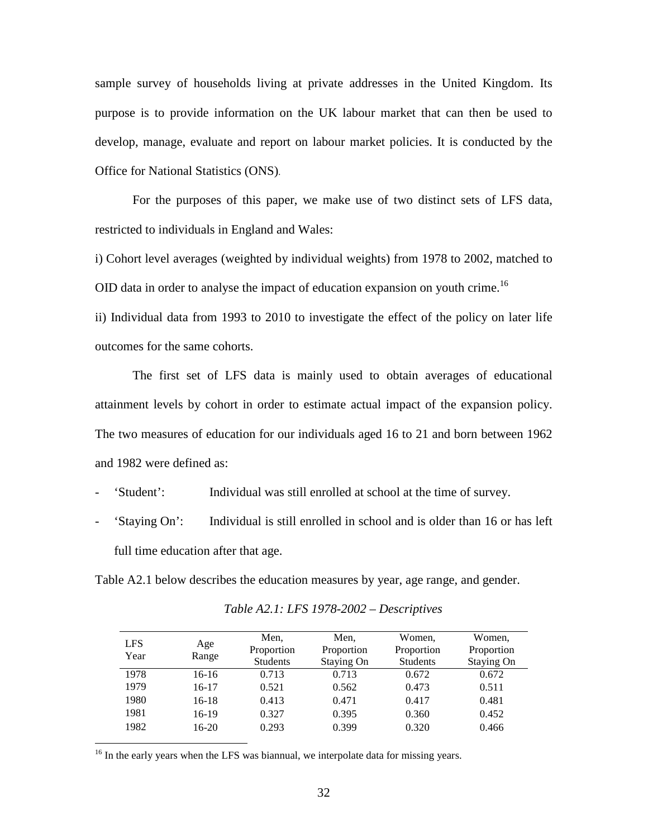sample survey of households living at private addresses in the United Kingdom. Its purpose is to provide information on the UK labour market that can then be used to develop, manage, evaluate and report on labour market policies. It is conducted by the Office for National Statistics (ONS).

For the purposes of this paper, we make use of two distinct sets of LFS data, restricted to individuals in England and Wales:

i) Cohort level averages (weighted by individual weights) from 1978 to 2002, matched to OID data in order to analyse the impact of education expansion on youth crime.<sup>16</sup>

ii) Individual data from 1993 to 2010 to investigate the effect of the policy on later life outcomes for the same cohorts.

The first set of LFS data is mainly used to obtain averages of educational attainment levels by cohort in order to estimate actual impact of the expansion policy. The two measures of education for our individuals aged 16 to 21 and born between 1962 and 1982 were defined as:

'Student': Individual was still enrolled at school at the time of survey.

- 'Staying On': Individual is still enrolled in school and is older than 16 or has left full time education after that age.

Table A2.1 below describes the education measures by year, age range, and gender.

| <b>LFS</b> |         | Men,            | Men,       | Women,          | Women,     |
|------------|---------|-----------------|------------|-----------------|------------|
| Year       | Age     | Proportion      | Proportion | Proportion      | Proportion |
|            | Range   | <b>Students</b> | Staying On | <b>Students</b> | Staying On |
| 1978       | $16-16$ | 0.713           | 0.713      | 0.672           | 0.672      |
| 1979       | $16-17$ | 0.521           | 0.562      | 0.473           | 0.511      |
| 1980       | $16-18$ | 0.413           | 0.471      | 0.417           | 0.481      |
| 1981       | $16-19$ | 0.327           | 0.395      | 0.360           | 0.452      |
| 1982       | 16-20   | 0.293           | 0.399      | 0.320           | 0.466      |

*Table A2.1: LFS 1978-2002 – Descriptives* 

<sup>16</sup> In the early years when the LFS was biannual, we interpolate data for missing years.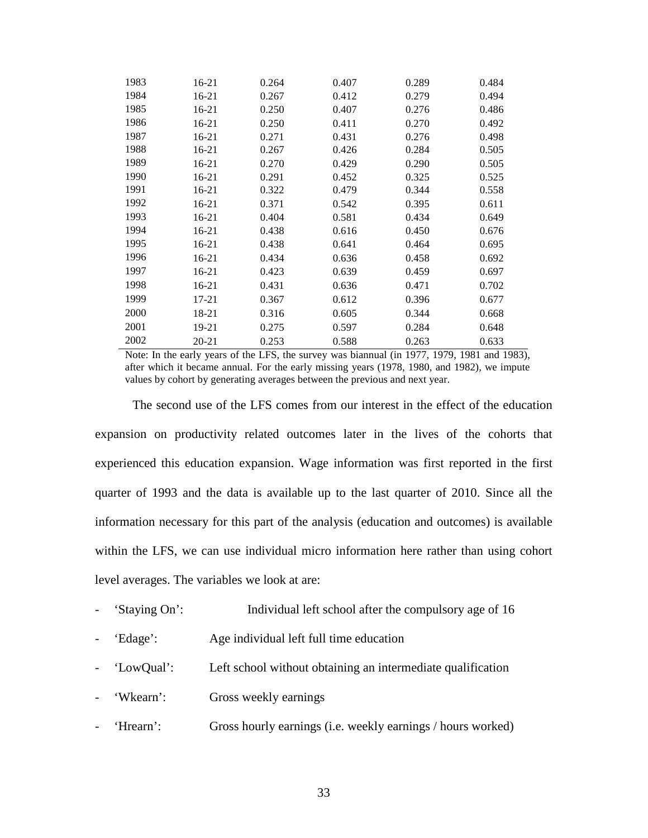| 1983 | 16-21     | 0.264 | 0.407 | 0.289 | 0.484 |
|------|-----------|-------|-------|-------|-------|
| 1984 | $16 - 21$ | 0.267 | 0.412 | 0.279 | 0.494 |
| 1985 | 16-21     | 0.250 | 0.407 | 0.276 | 0.486 |
| 1986 | 16-21     | 0.250 | 0.411 | 0.270 | 0.492 |
| 1987 | 16-21     | 0.271 | 0.431 | 0.276 | 0.498 |
| 1988 | $16 - 21$ | 0.267 | 0.426 | 0.284 | 0.505 |
| 1989 | 16-21     | 0.270 | 0.429 | 0.290 | 0.505 |
| 1990 | $16 - 21$ | 0.291 | 0.452 | 0.325 | 0.525 |
| 1991 | 16-21     | 0.322 | 0.479 | 0.344 | 0.558 |
| 1992 | 16-21     | 0.371 | 0.542 | 0.395 | 0.611 |
| 1993 | 16-21     | 0.404 | 0.581 | 0.434 | 0.649 |
| 1994 | 16-21     | 0.438 | 0.616 | 0.450 | 0.676 |
| 1995 | $16-21$   | 0.438 | 0.641 | 0.464 | 0.695 |
| 1996 | 16-21     | 0.434 | 0.636 | 0.458 | 0.692 |
| 1997 | $16 - 21$ | 0.423 | 0.639 | 0.459 | 0.697 |
| 1998 | 16-21     | 0.431 | 0.636 | 0.471 | 0.702 |
| 1999 | 17-21     | 0.367 | 0.612 | 0.396 | 0.677 |
| 2000 | 18-21     | 0.316 | 0.605 | 0.344 | 0.668 |
| 2001 | 19-21     | 0.275 | 0.597 | 0.284 | 0.648 |
| 2002 | $20 - 21$ | 0.253 | 0.588 | 0.263 | 0.633 |

Note: In the early years of the LFS, the survey was biannual (in 1977, 1979, 1981 and 1983), after which it became annual. For the early missing years (1978, 1980, and 1982), we impute values by cohort by generating averages between the previous and next year.

The second use of the LFS comes from our interest in the effect of the education expansion on productivity related outcomes later in the lives of the cohorts that experienced this education expansion. Wage information was first reported in the first quarter of 1993 and the data is available up to the last quarter of 2010. Since all the information necessary for this part of the analysis (education and outcomes) is available within the LFS, we can use individual micro information here rather than using cohort level averages. The variables we look at are:

- 'Staying On': Individual left school after the compulsory age of 16
- 'Edage': Age individual left full time education
- 'LowQual': Left school without obtaining an intermediate qualification
- 'Wkearn': Gross weekly earnings
- 'Hrearn': Gross hourly earnings (i.e. weekly earnings / hours worked)